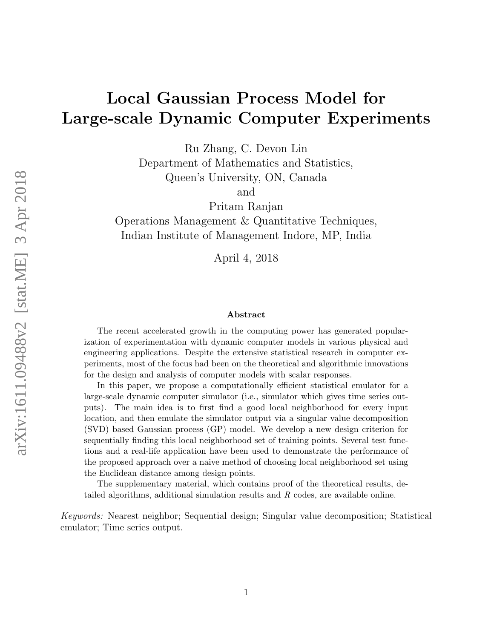# Local Gaussian Process Model for Large-scale Dynamic Computer Experiments

Ru Zhang, C. Devon Lin

Department of Mathematics and Statistics, Queen's University, ON, Canada

and

Pritam Ranjan Operations Management & Quantitative Techniques, Indian Institute of Management Indore, MP, India

April 4, 2018

#### Abstract

The recent accelerated growth in the computing power has generated popularization of experimentation with dynamic computer models in various physical and engineering applications. Despite the extensive statistical research in computer experiments, most of the focus had been on the theoretical and algorithmic innovations for the design and analysis of computer models with scalar responses.

In this paper, we propose a computationally efficient statistical emulator for a large-scale dynamic computer simulator (i.e., simulator which gives time series outputs). The main idea is to first find a good local neighborhood for every input location, and then emulate the simulator output via a singular value decomposition (SVD) based Gaussian process (GP) model. We develop a new design criterion for sequentially finding this local neighborhood set of training points. Several test functions and a real-life application have been used to demonstrate the performance of the proposed approach over a naive method of choosing local neighborhood set using the Euclidean distance among design points.

The supplementary material, which contains proof of the theoretical results, detailed algorithms, additional simulation results and R codes, are available online.

Keywords: Nearest neighbor; Sequential design; Singular value decomposition; Statistical emulator; Time series output.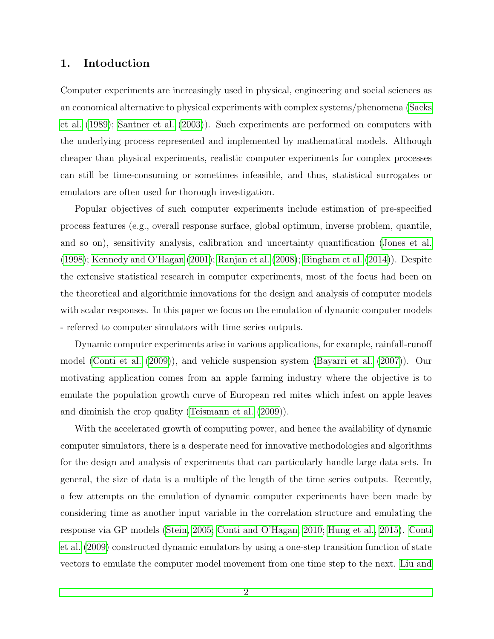# 1. Intoduction

Computer experiments are increasingly used in physical, engineering and social sciences as an economical alternative to physical experiments with complex systems/phenomena [\(Sacks](#page-25-0) [et al.](#page-25-0) [\(1989\)](#page-25-0); [Santner et al.](#page-25-1) [\(2003\)](#page-25-1)). Such experiments are performed on computers with the underlying process represented and implemented by mathematical models. Although cheaper than physical experiments, realistic computer experiments for complex processes can still be time-consuming or sometimes infeasible, and thus, statistical surrogates or emulators are often used for thorough investigation.

Popular objectives of such computer experiments include estimation of pre-specified process features (e.g., overall response surface, global optimum, inverse problem, quantile, and so on), sensitivity analysis, calibration and uncertainty quantification [\(Jones et al.](#page-24-0) [\(1998\)](#page-24-0); [Kennedy and O'Hagan](#page-24-1) [\(2001\)](#page-24-1); [Ranjan et al.](#page-25-2) [\(2008\)](#page-25-2); [Bingham et al.](#page-22-0) [\(2014\)](#page-22-0)). Despite the extensive statistical research in computer experiments, most of the focus had been on the theoretical and algorithmic innovations for the design and analysis of computer models with scalar responses. In this paper we focus on the emulation of dynamic computer models - referred to computer simulators with time series outputs.

Dynamic computer experiments arise in various applications, for example, rainfall-runoff model [\(Conti et al.](#page-23-0) [\(2009\)](#page-23-0)), and vehicle suspension system [\(Bayarri et al.](#page-22-1) [\(2007\)](#page-22-1)). Our motivating application comes from an apple farming industry where the objective is to emulate the population growth curve of European red mites which infest on apple leaves and diminish the crop quality [\(Teismann et al.](#page-26-0) [\(2009\)](#page-26-0)).

With the accelerated growth of computing power, and hence the availability of dynamic computer simulators, there is a desperate need for innovative methodologies and algorithms for the design and analysis of experiments that can particularly handle large data sets. In general, the size of data is a multiple of the length of the time series outputs. Recently, a few attempts on the emulation of dynamic computer experiments have been made by considering time as another input variable in the correlation structure and emulating the response via GP models [\(Stein, 2005;](#page-26-1) [Conti and O'Hagan, 2010;](#page-23-1) [Hung et al., 2015\)](#page-24-2). [Conti](#page-23-0) [et al.](#page-23-0) [\(2009\)](#page-23-0) constructed dynamic emulators by using a one-step transition function of state vectors to emulate the computer model movement from one time step to the next. [Liu and](#page-25-3)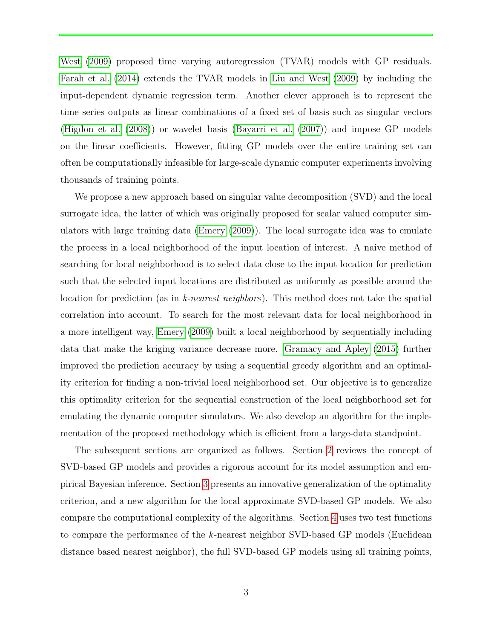[West](#page-25-3) [\(2009\)](#page-25-3) proposed time varying autoregression (TVAR) models with GP residuals. [Farah et al.](#page-23-2) [\(2014\)](#page-23-2) extends the TVAR models in [Liu and West](#page-25-3) [\(2009\)](#page-25-3) by including the input-dependent dynamic regression term. Another clever approach is to represent the time series outputs as linear combinations of a fixed set of basis such as singular vectors [\(Higdon et al.](#page-24-3) [\(2008\)](#page-24-3)) or wavelet basis [\(Bayarri et al.](#page-22-1) [\(2007\)](#page-22-1)) and impose GP models on the linear coefficients. However, fitting GP models over the entire training set can often be computationally infeasible for large-scale dynamic computer experiments involving thousands of training points.

We propose a new approach based on singular value decomposition (SVD) and the local surrogate idea, the latter of which was originally proposed for scalar valued computer simulators with large training data [\(Emery](#page-23-3) [\(2009\)](#page-23-3)). The local surrogate idea was to emulate the process in a local neighborhood of the input location of interest. A naive method of searching for local neighborhood is to select data close to the input location for prediction such that the selected input locations are distributed as uniformly as possible around the location for prediction (as in k-nearest neighbors). This method does not take the spatial correlation into account. To search for the most relevant data for local neighborhood in a more intelligent way, [Emery](#page-23-3) [\(2009\)](#page-23-3) built a local neighborhood by sequentially including data that make the kriging variance decrease more. [Gramacy and Apley](#page-24-4) [\(2015\)](#page-24-4) further improved the prediction accuracy by using a sequential greedy algorithm and an optimality criterion for finding a non-trivial local neighborhood set. Our objective is to generalize this optimality criterion for the sequential construction of the local neighborhood set for emulating the dynamic computer simulators. We also develop an algorithm for the implementation of the proposed methodology which is efficient from a large-data standpoint.

The subsequent sections are organized as follows. Section [2](#page-3-0) reviews the concept of SVD-based GP models and provides a rigorous account for its model assumption and empirical Bayesian inference. Section [3](#page-7-0) presents an innovative generalization of the optimality criterion, and a new algorithm for the local approximate SVD-based GP models. We also compare the computational complexity of the algorithms. Section [4](#page-13-0) uses two test functions to compare the performance of the k-nearest neighbor SVD-based GP models (Euclidean distance based nearest neighbor), the full SVD-based GP models using all training points,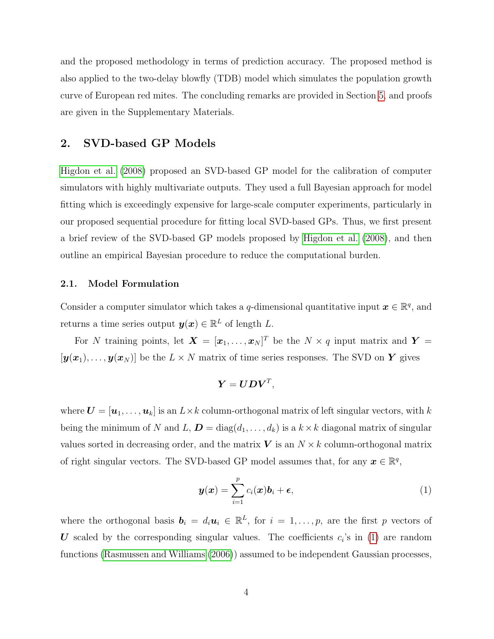and the proposed methodology in terms of prediction accuracy. The proposed method is also applied to the two-delay blowfly (TDB) model which simulates the population growth curve of European red mites. The concluding remarks are provided in Section [5,](#page-19-0) and proofs are given in the Supplementary Materials.

# <span id="page-3-0"></span>2. SVD-based GP Models

[Higdon et al.](#page-24-3) [\(2008\)](#page-24-3) proposed an SVD-based GP model for the calibration of computer simulators with highly multivariate outputs. They used a full Bayesian approach for model fitting which is exceedingly expensive for large-scale computer experiments, particularly in our proposed sequential procedure for fitting local SVD-based GPs. Thus, we first present a brief review of the SVD-based GP models proposed by [Higdon et al.](#page-24-3) [\(2008\)](#page-24-3), and then outline an empirical Bayesian procedure to reduce the computational burden.

#### 2.1. Model Formulation

Consider a computer simulator which takes a q-dimensional quantitative input  $\boldsymbol{x} \in \mathbb{R}^q$ , and returns a time series output  $y(x) \in \mathbb{R}^L$  of length L.

For N training points, let  $\mathbf{X} = [\mathbf{x}_1, \dots, \mathbf{x}_N]^T$  be the  $N \times q$  input matrix and  $\mathbf{Y} =$  $[y(x_1), \ldots, y(x_N)]$  be the  $L \times N$  matrix of time series responses. The SVD on Y gives

$$
\boldsymbol{Y} = \boldsymbol{U}\boldsymbol{D}\boldsymbol{V}^T,
$$

where  $\mathbf{U} = [\mathbf{u}_1, \dots, \mathbf{u}_k]$  is an  $L \times k$  column-orthogonal matrix of left singular vectors, with k being the minimum of N and L,  $D = diag(d_1, \ldots, d_k)$  is a  $k \times k$  diagonal matrix of singular values sorted in decreasing order, and the matrix  $V$  is an  $N \times k$  column-orthogonal matrix of right singular vectors. The SVD-based GP model assumes that, for any  $\boldsymbol{x} \in \mathbb{R}^q$ ,

<span id="page-3-1"></span>
$$
\boldsymbol{y}(\boldsymbol{x}) = \sum_{i=1}^{p} c_i(\boldsymbol{x}) \boldsymbol{b}_i + \boldsymbol{\epsilon},
$$
\n(1)

where the orthogonal basis  $b_i = d_i u_i \in \mathbb{R}^L$ , for  $i = 1, \ldots, p$ , are the first p vectors of U scaled by the corresponding singular values. The coefficients  $c_i$ 's in [\(1\)](#page-3-1) are random functions [\(Rasmussen and Williams](#page-25-4) [\(2006\)](#page-25-4)) assumed to be independent Gaussian processes,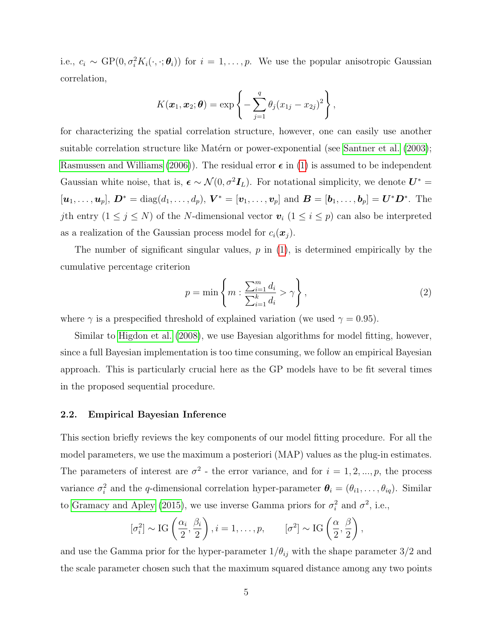i.e.,  $c_i \sim GP(0, \sigma_i^2 K_i(\cdot, \cdot; \theta_i))$  for  $i = 1, \ldots, p$ . We use the popular anisotropic Gaussian correlation,

$$
K(\boldsymbol{x}_1,\boldsymbol{x}_2;\boldsymbol{\theta})=\exp\left\{-\sum_{j=1}^q\theta_j(x_{1j}-x_{2j})^2\right\},\,
$$

for characterizing the spatial correlation structure, however, one can easily use another suitable correlation structure like Matérn or power-exponential (see [Santner et al.](#page-25-1) [\(2003\)](#page-25-1); [Rasmussen and Williams](#page-25-4) [\(2006\)](#page-25-4)). The residual error  $\epsilon$  in [\(1\)](#page-3-1) is assumed to be independent Gaussian white noise, that is,  $\epsilon \sim \mathcal{N}(0, \sigma^2 \mathbf{I}_L)$ . For notational simplicity, we denote  $\mathbf{U}^* =$  $[\bm{u}_1, \ldots, \bm{u}_p], \, \bm{D}^* = \text{diag}(d_1, \ldots, d_p), \, \bm{V}^* = [\bm{v}_1, \ldots, \bm{v}_p] \, \text{ and } \, \bm{B} = [\bm{b}_1, \ldots, \bm{b}_p] = \bm{U}^* \bm{D}^*. \, \text{ The }$ jth entry  $(1 \le j \le N)$  of the N-dimensional vector  $\mathbf{v}_i$   $(1 \le i \le p)$  can also be interpreted as a realization of the Gaussian process model for  $c_i(\boldsymbol{x}_i)$ .

The number of significant singular values,  $p$  in  $(1)$ , is determined empirically by the cumulative percentage criterion

<span id="page-4-0"></span>
$$
p = \min\left\{m : \frac{\sum_{i=1}^{m} d_i}{\sum_{i=1}^{k} d_i} > \gamma\right\},\tag{2}
$$

where  $\gamma$  is a prespecified threshold of explained variation (we used  $\gamma = 0.95$ ).

Similar to [Higdon et al.](#page-24-3) [\(2008\)](#page-24-3), we use Bayesian algorithms for model fitting, however, since a full Bayesian implementation is too time consuming, we follow an empirical Bayesian approach. This is particularly crucial here as the GP models have to be fit several times in the proposed sequential procedure.

#### 2.2. Empirical Bayesian Inference

This section briefly reviews the key components of our model fitting procedure. For all the model parameters, we use the maximum a posteriori (MAP) values as the plug-in estimates. The parameters of interest are  $\sigma^2$  - the error variance, and for  $i = 1, 2, ..., p$ , the process variance  $\sigma_i^2$  and the q-dimensional correlation hyper-parameter  $\theta_i = (\theta_{i1}, \dots, \theta_{iq})$ . Similar to [Gramacy and Apley](#page-24-4) [\(2015\)](#page-24-4), we use inverse Gamma priors for  $\sigma_i^2$  and  $\sigma^2$ , i.e.,

$$
[\sigma_i^2] \sim \text{IG}\left(\frac{\alpha_i}{2}, \frac{\beta_i}{2}\right), i = 1, \dots, p, \qquad [\sigma^2] \sim \text{IG}\left(\frac{\alpha}{2}, \frac{\beta}{2}\right),
$$

and use the Gamma prior for the hyper-parameter  $1/\theta_{ij}$  with the shape parameter  $3/2$  and the scale parameter chosen such that the maximum squared distance among any two points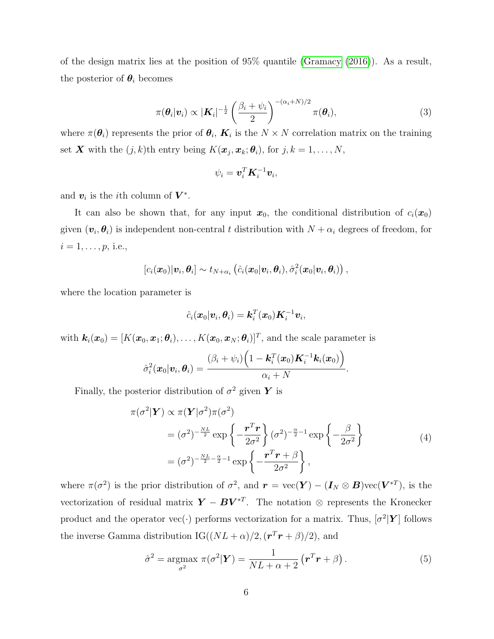of the design matrix lies at the position of 95% quantile [\(Gramacy](#page-24-5) [\(2016\)](#page-24-5)). As a result, the posterior of  $\theta_i$  becomes

<span id="page-5-0"></span>
$$
\pi(\boldsymbol{\theta}_i|\boldsymbol{v}_i) \propto |\boldsymbol{K}_i|^{-\frac{1}{2}} \left(\frac{\beta_i + \psi_i}{2}\right)^{-(\alpha_i + N)/2} \pi(\boldsymbol{\theta}_i), \tag{3}
$$

where  $\pi(\theta_i)$  represents the prior of  $\theta_i$ ,  $K_i$  is the  $N \times N$  correlation matrix on the training set **X** with the  $(j, k)$ <sup>th</sup> entry being  $K(\boldsymbol{x}_j, \boldsymbol{x}_k; \boldsymbol{\theta}_i)$ , for  $j, k = 1, ..., N$ ,

$$
\psi_i = \boldsymbol{v}_i^T \boldsymbol{K}_i^{-1} \boldsymbol{v}_i,
$$

and  $v_i$  is the *i*<sup>th</sup> column of  $V^*$ .

It can also be shown that, for any input  $x_0$ , the conditional distribution of  $c_i(x_0)$ given  $(\boldsymbol{v}_i, \boldsymbol{\theta}_i)$  is independent non-central t distribution with  $N + \alpha_i$  degrees of freedom, for  $i = 1, \ldots, p$ , i.e.,

$$
[c_i(\boldsymbol{x}_0)|\boldsymbol{v}_i,\boldsymbol{\theta}_i] \sim t_{N+\alpha_i}(\hat{c}_i(\boldsymbol{x}_0|\boldsymbol{v}_i,\boldsymbol{\theta}_i),\hat{\sigma}_i^2(\boldsymbol{x}_0|\boldsymbol{v}_i,\boldsymbol{\theta}_i)),
$$

where the location parameter is

<span id="page-5-1"></span>
$$
\hat{c}_i(\boldsymbol{x}_0|\boldsymbol{v}_i,\boldsymbol{\theta}_i)=\boldsymbol{k}_i^T(\boldsymbol{x}_0)\boldsymbol{K}_i^{-1}\boldsymbol{v}_i,
$$

with  $\mathbf{k}_i(\mathbf{x}_0) = [K(\mathbf{x}_0, \mathbf{x}_1; \boldsymbol{\theta}_i), \dots, K(\mathbf{x}_0, \mathbf{x}_N; \boldsymbol{\theta}_i)]^T$ , and the scale parameter is

$$
\hat{\sigma}_i^2(\boldsymbol{x}_0|\boldsymbol{v}_i,\boldsymbol{\theta}_i)=\frac{(\beta_i+\psi_i)\Big(1-\boldsymbol{k}_i^T(\boldsymbol{x}_0)\boldsymbol{K}_i^{-1}\boldsymbol{k}_i(\boldsymbol{x}_0)\Big)}{\alpha_i+N}.
$$

Finally, the posterior distribution of  $\sigma^2$  given Y is

$$
\pi(\sigma^2|\mathbf{Y}) \propto \pi(\mathbf{Y}|\sigma^2)\pi(\sigma^2)
$$
  
=  $(\sigma^2)^{-\frac{NL}{2}} \exp\left\{-\frac{\mathbf{r}^T \mathbf{r}}{2\sigma^2}\right\} (\sigma^2)^{-\frac{\alpha}{2}-1} \exp\left\{-\frac{\beta}{2\sigma^2}\right\}$   
=  $(\sigma^2)^{-\frac{NL}{2}-\frac{\alpha}{2}-1} \exp\left\{-\frac{\mathbf{r}^T \mathbf{r}+\beta}{2\sigma^2}\right\},$  (4)

where  $\pi(\sigma^2)$  is the prior distribution of  $\sigma^2$ , and  $\mathbf{r} = \text{vec}(\mathbf{Y}) - (\mathbf{I}_N \otimes \mathbf{B})\text{vec}(\mathbf{V}^{*T})$ , is the vectorization of residual matrix  $\boldsymbol{Y} - \boldsymbol{B} \boldsymbol{V}^{*T}$ . The notation ⊗ represents the Kronecker product and the operator vec( $\cdot$ ) performs vectorization for a matrix. Thus,  $\lbrack \sigma^2|\mathbf{Y}\rbrack$  follows the inverse Gamma distribution  $IG((NL+\alpha)/2, (r^T r + \beta)/2)$ , and

<span id="page-5-2"></span>
$$
\hat{\sigma}^2 = \underset{\sigma^2}{\text{argmax}} \ \pi(\sigma^2 | \mathbf{Y}) = \frac{1}{NL + \alpha + 2} \left( \mathbf{r}^T \mathbf{r} + \beta \right). \tag{5}
$$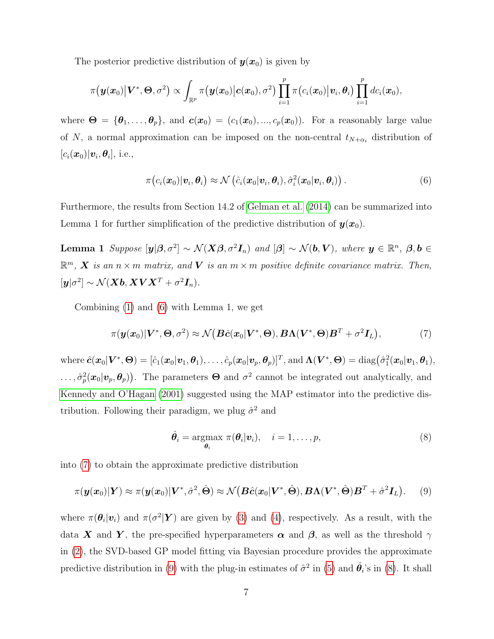The posterior predictive distribution of  $y(x_0)$  is given by

$$
\pi\big(\boldsymbol{y}(\boldsymbol{x}_0)\big|\boldsymbol{V}^*,\boldsymbol{\Theta},\sigma^2\big)\propto \int_{\mathbb{R}^p}\pi\big(\boldsymbol{y}(\boldsymbol{x}_0)\big|\boldsymbol{c}(\boldsymbol{x}_0),\sigma^2\big)\prod_{i=1}^p\pi\big(c_i(\boldsymbol{x}_0)\big|\boldsymbol{v}_i,\boldsymbol{\theta}_i\big)\prod_{i=1}^pdc_i(\boldsymbol{x}_0),
$$

where  $\mathbf{\Theta} = {\theta_1, \ldots, \theta_p}$ , and  $\mathbf{c}(\mathbf{x}_0) = (c_1(\mathbf{x}_0), ..., c_p(\mathbf{x}_0))$ . For a reasonably large value of N, a normal approximation can be imposed on the non-central  $t_{N+\alpha_i}$  distribution of  $[c_i(\boldsymbol{x}_0)|\boldsymbol{v}_i,\boldsymbol{\theta}_i],$  i.e.,

<span id="page-6-0"></span>
$$
\pi\big(c_i(\boldsymbol{x}_0)|\boldsymbol{v}_i,\boldsymbol{\theta}_i\big)\approx\mathcal{N}\big(\hat{c}_i(\boldsymbol{x}_0|\boldsymbol{v}_i,\boldsymbol{\theta}_i),\hat{\sigma}_i^2(\boldsymbol{x}_0|\boldsymbol{v}_i,\boldsymbol{\theta}_i)\big)\,.
$$

Furthermore, the results from Section 14.2 of [Gelman et al.](#page-23-4) [\(2014\)](#page-23-4) can be summarized into Lemma 1 for further simplification of the predictive distribution of  $y(x_0)$ .

**Lemma 1** Suppose  $[\mathbf{y}|\boldsymbol{\beta}, \sigma^2] \sim \mathcal{N}(\mathbf{X}\boldsymbol{\beta}, \sigma^2 \mathbf{I}_n)$  and  $[\boldsymbol{\beta}] \sim \mathcal{N}(\mathbf{b}, \mathbf{V})$ , where  $\mathbf{y} \in \mathbb{R}^n$ ,  $\boldsymbol{\beta}, \mathbf{b} \in \mathbb{R}^n$  $\mathbb{R}^m$ , **X** is an  $n \times m$  matrix, and **V** is an  $m \times m$  positive definite covariance matrix. Then,  $[\boldsymbol{y}|\sigma^2] \sim \mathcal{N}(\boldsymbol{X}\boldsymbol{b},\boldsymbol{X}\boldsymbol{V}\boldsymbol{X}^T + \sigma^2 \boldsymbol{I}_n).$ 

Combining [\(1\)](#page-3-1) and [\(6\)](#page-6-0) with Lemma 1, we get

$$
\pi(\boldsymbol{y}(\boldsymbol{x}_0)|\boldsymbol{V}^*,\boldsymbol{\Theta},\sigma^2) \approx \mathcal{N}\big(\boldsymbol{B}\hat{\boldsymbol{c}}(\boldsymbol{x}_0|\boldsymbol{V}^*,\boldsymbol{\Theta}),\boldsymbol{B}\boldsymbol{\Lambda}(\boldsymbol{V}^*,\boldsymbol{\Theta})\boldsymbol{B}^T+\sigma^2\boldsymbol{I}_L\big),
$$
\n(7)

 $\text{where }\hat{\bm{c}}(\bm{x}_0|\bm{V}^*,\bm{\Theta})=[\hat{c}_1(\bm{x}_0|\bm{v}_1,\bm{\theta}_1),\ldots,\hat{c}_p(\bm{x}_0|\bm{v}_p,\bm{\theta}_p)]^T,\text{and }\bm{\Lambda}(\bm{V}^*,\bm{\Theta})=\text{diag}\big(\hat{\sigma}_1^2(\bm{x}_0|\bm{v}_1,\bm{\theta}_1),$  $\ldots, \hat{\sigma}_p^2(\bm{x}_0|\bm{v}_p, \bm{\theta}_p)$ . The parameters  $\bm{\Theta}$  and  $\sigma^2$  cannot be integrated out analytically, and [Kennedy and O'Hagan](#page-24-1) [\(2001\)](#page-24-1) suggested using the MAP estimator into the predictive distribution. Following their paradigm, we plug  $\hat{\sigma}^2$  and

<span id="page-6-3"></span><span id="page-6-2"></span><span id="page-6-1"></span>
$$
\hat{\theta}_i = \underset{\theta_i}{\operatorname{argmax}} \ \pi(\theta_i | \boldsymbol{v}_i), \quad i = 1, \dots, p,
$$
\n(8)

into [\(7\)](#page-6-1) to obtain the approximate predictive distribution

$$
\pi(\boldsymbol{y}(\boldsymbol{x}_0)|\boldsymbol{Y}) \approx \pi(\boldsymbol{y}(\boldsymbol{x}_0)|\boldsymbol{V}^*,\hat{\sigma}^2,\hat{\boldsymbol{\Theta}}) \approx \mathcal{N}\big(\boldsymbol{B}\hat{\boldsymbol{c}}(\boldsymbol{x}_0|\boldsymbol{V}^*,\hat{\boldsymbol{\Theta}}),\boldsymbol{B}\boldsymbol{\Lambda}(\boldsymbol{V}^*,\hat{\boldsymbol{\Theta}})\boldsymbol{B}^T+\hat{\sigma}^2\boldsymbol{I}_L\big).
$$
 (9)

where  $\pi(\theta_i|\mathbf{v}_i)$  and  $\pi(\sigma^2|\mathbf{Y})$  are given by [\(3\)](#page-5-0) and [\(4\)](#page-5-1), respectively. As a result, with the data X and Y, the pre-specified hyperparameters  $\alpha$  and  $\beta$ , as well as the threshold  $\gamma$ in [\(2\)](#page-4-0), the SVD-based GP model fitting via Bayesian procedure provides the approximate predictive distribution in [\(9\)](#page-6-2) with the plug-in estimates of  $\hat{\sigma}^2$  in [\(5\)](#page-5-2) and  $\hat{\theta}_i$ 's in [\(8\)](#page-6-3). It shall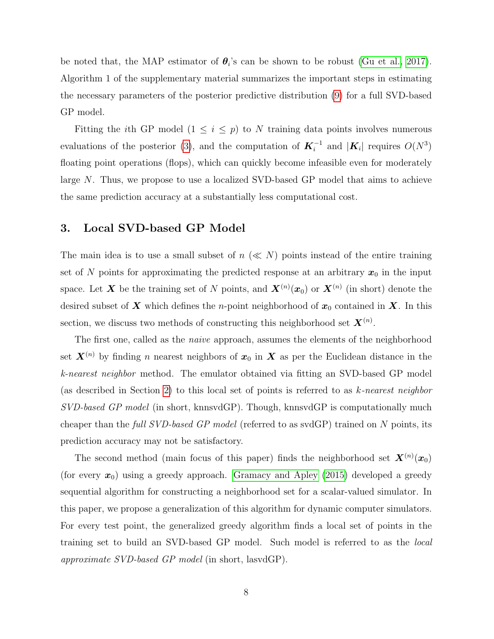be noted that, the MAP estimator of  $\theta_i$ 's can be shown to be robust [\(Gu et al., 2017\)](#page-24-6). Algorithm 1 of the supplementary material summarizes the important steps in estimating the necessary parameters of the posterior predictive distribution [\(9\)](#page-6-2) for a full SVD-based GP model.

Fitting the *i*th GP model ( $1 \leq i \leq p$ ) to N training data points involves numerous evaluations of the posterior [\(3\)](#page-5-0), and the computation of  $\mathbf{K}_i^{-1}$  and  $|\mathbf{K}_i|$  requires  $O(N^3)$ floating point operations (flops), which can quickly become infeasible even for moderately large N. Thus, we propose to use a localized SVD-based GP model that aims to achieve the same prediction accuracy at a substantially less computational cost.

### <span id="page-7-0"></span>3. Local SVD-based GP Model

The main idea is to use a small subset of  $n \ll N$ ) points instead of the entire training set of N points for approximating the predicted response at an arbitrary  $x_0$  in the input space. Let X be the training set of N points, and  $\mathbf{X}^{(n)}(\bm{x}_0)$  or  $\mathbf{X}^{(n)}$  (in short) denote the desired subset of  $X$  which defines the *n*-point neighborhood of  $x_0$  contained in  $X$ . In this section, we discuss two methods of constructing this neighborhood set  $X^{(n)}$ .

The first one, called as the *naive* approach, assumes the elements of the neighborhood set  $\mathbf{X}^{(n)}$  by finding n nearest neighbors of  $x_0$  in  $\mathbf{X}$  as per the Euclidean distance in the k-nearest neighbor method. The emulator obtained via fitting an SVD-based GP model (as described in Section [2\)](#page-3-0) to this local set of points is referred to as  $k$ -nearest neighbor SVD-based GP model (in short, knnsvdGP). Though, knnsvdGP is computationally much cheaper than the full SVD-based GP model (referred to as svdGP) trained on N points, its prediction accuracy may not be satisfactory.

The second method (main focus of this paper) finds the neighborhood set  $\mathbf{X}^{(n)}(\mathbf{x}_0)$ (for every  $x_0$ ) using a greedy approach. [Gramacy and Apley](#page-24-4) [\(2015\)](#page-24-4) developed a greedy sequential algorithm for constructing a neighborhood set for a scalar-valued simulator. In this paper, we propose a generalization of this algorithm for dynamic computer simulators. For every test point, the generalized greedy algorithm finds a local set of points in the training set to build an SVD-based GP model. Such model is referred to as the local approximate SVD-based GP model (in short, lasvdGP).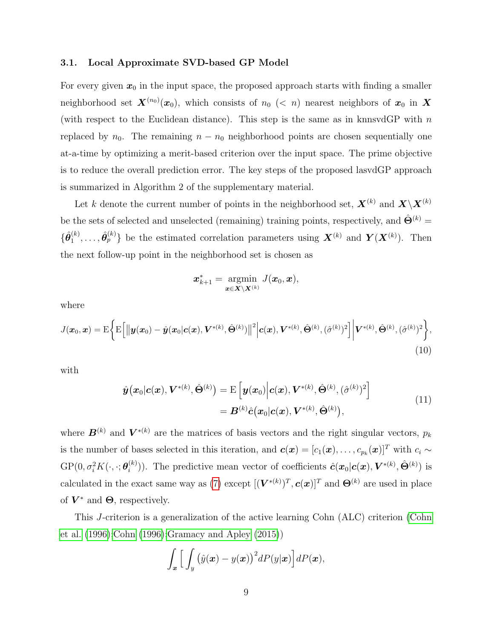#### 3.1. Local Approximate SVD-based GP Model

For every given  $x_0$  in the input space, the proposed approach starts with finding a smaller neighborhood set  $\bm{X}^{(n_0)}(\bm{x}_0),$  which consists of  $n_0$  (< n) nearest neighbors of  $\bm{x}_0$  in  $\bm{X}$ (with respect to the Euclidean distance). This step is the same as in knnsvdGP with  $n$ replaced by  $n_0$ . The remaining  $n - n_0$  neighborhood points are chosen sequentially one at-a-time by optimizing a merit-based criterion over the input space. The prime objective is to reduce the overall prediction error. The key steps of the proposed lasvdGP approach is summarized in Algorithm 2 of the supplementary material.

Let k denote the current number of points in the neighborhood set,  $\mathbf{X}^{(k)}$  and  $\mathbf{X}\backslash\mathbf{X}^{(k)}$ be the sets of selected and unselected (remaining) training points, respectively, and  $\hat{\Theta}^{(k)}$  =  $\{\hat{\bm{\theta}}_1^{(k)}$  $\{\hat{\theta}_p^{(k)},\ldots,\hat{\theta}_p^{(k)}\}$  be the estimated correlation parameters using  $\mathbf{X}^{(k)}$  and  $\mathbf{Y}(\mathbf{X}^{(k)})$ . Then the next follow-up point in the neighborhood set is chosen as

<span id="page-8-1"></span><span id="page-8-0"></span>
$$
\boldsymbol{x}_{k+1}^* = \operatornamewithlimits{argmin}_{\boldsymbol{x} \in \boldsymbol{X} \setminus \boldsymbol{X}^{(k)}} J(\boldsymbol{x}_0, \boldsymbol{x}),
$$

where

$$
J(\boldsymbol{x}_0, \boldsymbol{x}) = \mathrm{E}\bigg\{\mathrm{E}\Big[\big\|\boldsymbol{y}(\boldsymbol{x}_0) - \hat{\boldsymbol{y}}(\boldsymbol{x}_0|\boldsymbol{c}(\boldsymbol{x}), \boldsymbol{V}^{*(k)}, \hat{\boldsymbol{\Theta}}^{(k)})\big\|^2 \Big|\boldsymbol{c}(\boldsymbol{x}), \boldsymbol{V}^{*(k)}, \hat{\boldsymbol{\Theta}}^{(k)}, (\hat{\sigma}^{(k)})^2\Big]\bigg|\boldsymbol{V}^{*(k)}, \hat{\boldsymbol{\Theta}}^{(k)}, (\hat{\sigma}^{(k)})^2\bigg\},\tag{10}
$$

with

$$
\hat{\bm{y}}(\bm{x}_0|\bm{c}(\bm{x}),\bm{V}^{*(k)},\hat{\bm{\Theta}}^{(k)}) = \mathrm{E}\left[\bm{y}(\bm{x}_0)\Big|\bm{c}(\bm{x}),\bm{V}^{*(k)},\hat{\bm{\Theta}}^{(k)},(\hat{\sigma}^{(k)})^2\right] \n= \bm{B}^{(k)}\hat{\bm{c}}(\bm{x}_0|\bm{c}(\bm{x}),\bm{V}^{*(k)},\hat{\bm{\Theta}}^{(k)}),
$$
\n(11)

where  $\mathbf{B}^{(k)}$  and  $\mathbf{V}^{*(k)}$  are the matrices of basis vectors and the right singular vectors,  $p_k$ is the number of bases selected in this iteration, and  $\mathbf{c}(\mathbf{x}) = [c_1(\mathbf{x}), \dots, c_{p_k}(\mathbf{x})]^T$  with  $c_i \sim$  $\mathrm{GP}(0, \sigma^2_i K(\cdot, \cdot; \boldsymbol{\theta}_i^{(k)}$ (k)). The predictive mean vector of coefficients  $\hat{c}(x_0|c(x), V^{*(k)}, \hat{\Theta}^{(k)})$  is calculated in the exact same way as  $(7)$  except  $[(\boldsymbol{V}^{*(k)})^T, \boldsymbol{c}(\boldsymbol{x})]^T$  and  $\boldsymbol{\Theta}^{(k)}$  are used in place of  $V^*$  and  $\Theta$ , respectively.

This J-criterion is a generalization of the active learning Cohn (ALC) criterion [\(Cohn](#page-23-5) [et al.](#page-23-5) [\(1996\)](#page-23-5)[;Cohn](#page-23-6) [\(1996\)](#page-23-6)[;Gramacy and Apley](#page-24-4) [\(2015\)](#page-24-4))

$$
\int_{\boldsymbol{x}} \Big[ \int_{y} \big( \hat{y}(\boldsymbol{x}) - y(\boldsymbol{x}) \big)^2 dP(y|\boldsymbol{x}) \Big] dP(\boldsymbol{x}),
$$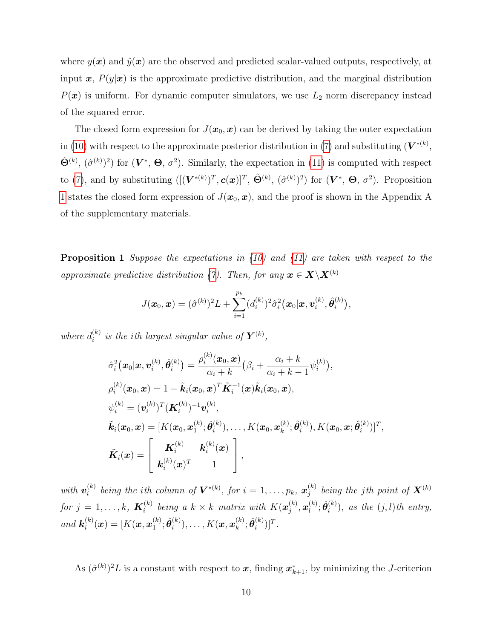where  $y(x)$  and  $\hat{y}(x)$  are the observed and predicted scalar-valued outputs, respectively, at input  $x, P(y|x)$  is the approximate predictive distribution, and the marginal distribution  $P(x)$  is uniform. For dynamic computer simulators, we use  $L_2$  norm discrepancy instead of the squared error.

The closed form expression for  $J(\mathbf{x}_0, \mathbf{x})$  can be derived by taking the outer expectation in [\(10\)](#page-8-0) with respect to the approximate posterior distribution in [\(7\)](#page-6-1) and substituting  $(V^{*(k)},$  $\hat{\Theta}^{(k)}$ ,  $(\hat{\sigma}^{(k)})^2$  for  $(\mathbf{V}^*, \Theta, \sigma^2)$ . Similarly, the expectation in [\(11\)](#page-8-1) is computed with respect to [\(7\)](#page-6-1), and by substituting  $([(\boldsymbol{V}^{*(k)})^T, \boldsymbol{c}(\boldsymbol{x})]^T, \hat{\boldsymbol{\Theta}}^{(k)}, (\hat{\sigma}^{(k)})^2)$  for  $(\boldsymbol{V}^*, \boldsymbol{\Theta}, \sigma^2)$ . Proposition [1](#page-9-0) states the closed form expression of  $J(\mathbf{x}_0, \mathbf{x})$ , and the proof is shown in the Appendix A of the supplementary materials.

<span id="page-9-0"></span>**Proposition 1** Suppose the expectations in  $(10)$  and  $(11)$  are taken with respect to the approximate predictive distribution [\(7\)](#page-6-1). Then, for any  $\mathbf{x} \in \mathbf{X} \setminus \mathbf{X}^{(k)}$ 

$$
J(\boldsymbol{x}_0, \boldsymbol{x}) = (\hat{\sigma}^{(k)})^2 L + \sum_{i=1}^{p_k} (d_i^{(k)})^2 \hat{\sigma}_i^2(\boldsymbol{x}_0 | \boldsymbol{x}, \boldsymbol{v}_i^{(k)}, \hat{\boldsymbol{\theta}}_i^{(k)}),
$$

where  $d_i^{(k)}$  $i^{(k)}_i$  is the ith largest singular value of  $\boldsymbol{Y}^{(k)}$ ,

$$
\hat{\sigma}_i^2(\mathbf{x}_0|\mathbf{x}, \mathbf{v}_i^{(k)}, \hat{\theta}_i^{(k)}) = \frac{\rho_i^{(k)}(\mathbf{x}_0, \mathbf{x})}{\alpha_i + k} (\beta_i + \frac{\alpha_i + k}{\alpha_i + k - 1} \psi_i^{(k)}),
$$
\n
$$
\rho_i^{(k)}(\mathbf{x}_0, \mathbf{x}) = 1 - \tilde{\mathbf{k}}_i(\mathbf{x}_0, \mathbf{x})^T \tilde{\mathbf{K}}_i^{-1}(\mathbf{x}) \tilde{\mathbf{k}}_i(\mathbf{x}_0, \mathbf{x}),
$$
\n
$$
\psi_i^{(k)} = (\mathbf{v}_i^{(k)})^T (\mathbf{K}_i^{(k)})^{-1} \mathbf{v}_i^{(k)},
$$
\n
$$
\tilde{\mathbf{k}}_i(\mathbf{x}_0, \mathbf{x}) = [K(\mathbf{x}_0, \mathbf{x}_1^{(k)}; \hat{\theta}_i^{(k)}), \dots, K(\mathbf{x}_0, \mathbf{x}_k^{(k)}; \hat{\theta}_i^{(k)}), K(\mathbf{x}_0, \mathbf{x}; \hat{\theta}_i^{(k)})]^T,
$$
\n
$$
\tilde{\mathbf{K}}_i(\mathbf{x}) = \begin{bmatrix} \mathbf{K}_i^{(k)} & \mathbf{k}_i^{(k)}(\mathbf{x}) \\ \mathbf{k}_i^{(k)}(\mathbf{x})^T & 1 \end{bmatrix},
$$

with  $\boldsymbol{v}_i^{(k)}$  $\mathbf{z}_i^{(k)}$  being the ith column of  $\mathbf{V}^{*(k)}$ , for  $i=1,\ldots,p_k,$   $\boldsymbol{x}_j^{(k)}$  $j^{(k)}_j$  being the jth point of  $\boldsymbol{X}^{(k)}$ for  $j=1,\ldots,k, \; \boldsymbol{K}_i^{(k)}$  $\mathbf{z}_i^{(k)}$  being a  $k \times k$  matrix with  $K(\boldsymbol{x}_j^{(k)})$  $\left(\begin{smallmatrix} k \ j \end{smallmatrix}\right), \boldsymbol{x}_l^{(k)}$  $\overset{(k)}{\ell}; \hat{\bm{\theta}}_i^{(k)}$  $i^{(k)}$ ), as the  $(j, l)$ th entry, and  $k_i^{(k)}$  $\boldsymbol{u}_i^{(k)}(\boldsymbol{x}) = [K(\boldsymbol{x}, \boldsymbol{x}_1^{(k)})$  $\overset{(k)}{1}; \hat{\bm{\theta}}_i^{(k)}$  $\bm{h}_i^{(k)}), \dots, K(\bm{x}, \bm{x}_k^{(k)})$  $_{k}^{(k)};\hat{\bm{\theta}}_{i}^{(k)}$  $\binom{k}{i}$ ]<sup>T</sup>.

As  $(\hat{\sigma}^{(k)})^2 L$  is a constant with respect to  $x$ , finding  $x_{k+1}^*$ , by minimizing the *J*-criterion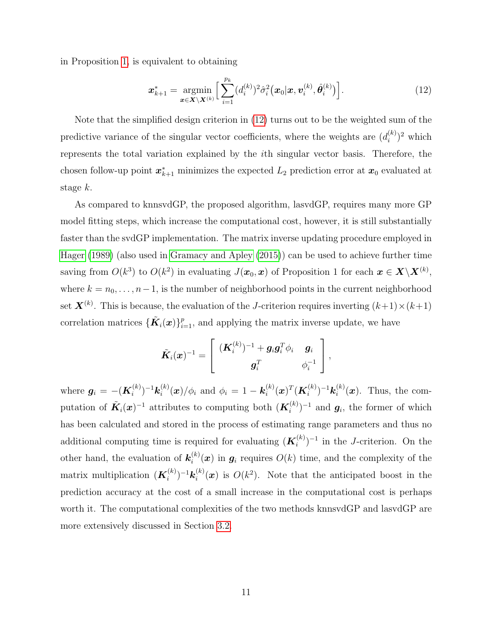in Proposition [1,](#page-9-0) is equivalent to obtaining

<span id="page-10-0"></span>
$$
\boldsymbol{x}_{k+1}^{*} = \underset{\boldsymbol{x} \in \mathbf{X} \setminus \mathbf{X}^{(k)}}{\text{argmin}} \Big[ \sum_{i=1}^{p_k} (d_i^{(k)})^2 \hat{\sigma}_i^2(\boldsymbol{x}_0 | \boldsymbol{x}, \boldsymbol{v}_i^{(k)}, \hat{\boldsymbol{\theta}}_i^{(k)}) \Big]. \tag{12}
$$

Note that the simplified design criterion in [\(12\)](#page-10-0) turns out to be the weighted sum of the predictive variance of the singular vector coefficients, where the weights are  $(d_i^{(k)})$  $\binom{k}{i}^2$  which represents the total variation explained by the ith singular vector basis. Therefore, the chosen follow-up point  $x_{k+1}^*$  minimizes the expected  $L_2$  prediction error at  $x_0$  evaluated at stage k.

As compared to knnsvdGP, the proposed algorithm, lasvdGP, requires many more GP model fitting steps, which increase the computational cost, however, it is still substantially faster than the svdGP implementation. The matrix inverse updating procedure employed in [Hager](#page-24-7) [\(1989\)](#page-24-7) (also used in [Gramacy and Apley](#page-24-4) [\(2015\)](#page-24-4)) can be used to achieve further time saving from  $O(k^3)$  to  $O(k^2)$  in evaluating  $J(\bm{x}_0, \bm{x})$  of Proposition 1 for each  $\bm{x} \in \mathbf{X} \backslash \mathbf{X}^{(k)}$ , where  $k = n_0, \ldots, n-1$ , is the number of neighborhood points in the current neighborhood set  $\mathbf{X}^{(k)}$ . This is because, the evaluation of the J-criterion requires inverting  $(k+1)\times(k+1)$ correlation matrices  $\{\tilde{\bm{K}}_i(\bm{x})\}_{i=1}^p$ , and applying the matrix inverse update, we have

$$
\tilde{\boldsymbol{K}}_i(\boldsymbol{x})^{-1} = \left[ \begin{array}{cc} (\boldsymbol{K}^{(k)}_i)^{-1} + \boldsymbol{g}_i \boldsymbol{g}_i^T \phi_i & \boldsymbol{g}_i \\ \boldsymbol{g}_i^T & \phi_i^{-1} \end{array} \right],
$$

where  $\bm{g}_i = -(\bm{K}_i^{(k)}$  $\bm{h}_i^{(k)})^{-1}\bm{k}_i^{(k)}$  $\hat{p}_{i}^{(k)}(\boldsymbol{x})/\phi_{i}$  and  $\phi_{i} = 1 - \boldsymbol{k}_{i}^{(k)}$  $\bm{u}_i^{(k)}(\bm{x})^T(\bm{K}_i^{(k)})$  $\bm{h}_i^{(k)})^{-1}\bm{k}_i^{(k)}$  $i^{(\kappa)}(x)$ . Thus, the computation of  $\tilde{K}_i(x)^{-1}$  attributes to computing both  $(K_i^{(k)})$  $\mathbf{g}_i^{(k)}$  $^{-1}$  and  $\mathbf{g}_i$ , the former of which has been calculated and stored in the process of estimating range parameters and thus no additional computing time is required for evaluating  $(K_i^{(k)})$  $\binom{k}{i}$ <sup>-1</sup> in the *J*-criterion. On the other hand, the evaluation of  $\mathbf{k}_i^{(k)}$  $i^{(k)}(x)$  in  $g_i$  requires  $O(k)$  time, and the complexity of the matrix multiplication  $(K_i^{(k)}$  $\bm{h}_i^{(k)})^{-1}\bm{k}_i^{(k)}$  $i^{(k)}(x)$  is  $O(k^2)$ . Note that the anticipated boost in the prediction accuracy at the cost of a small increase in the computational cost is perhaps worth it. The computational complexities of the two methods knnsvdGP and lasvdGP are more extensively discussed in Section [3.2.](#page-11-0)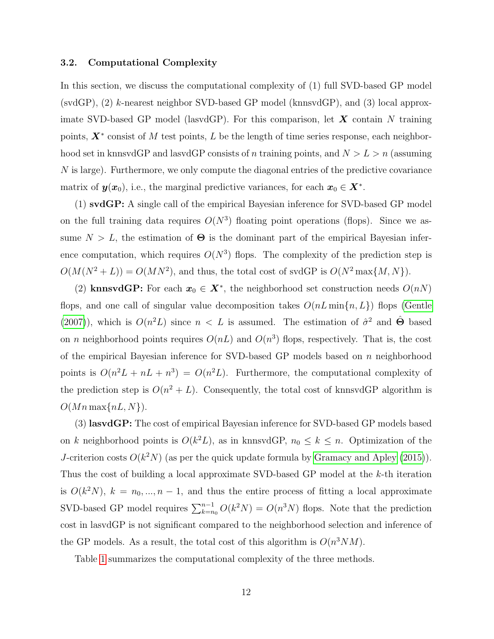#### <span id="page-11-0"></span>3.2. Computational Complexity

In this section, we discuss the computational complexity of (1) full SVD-based GP model (svdGP), (2) k-nearest neighbor SVD-based GP model (knnsvdGP), and (3) local approximate SVD-based GP model (lasvdGP). For this comparison, let  $X$  contain N training points,  $X^*$  consist of M test points, L be the length of time series response, each neighborhood set in knnsvdGP and lasvdGP consists of n training points, and  $N > L > n$  (assuming N is large). Furthermore, we only compute the diagonal entries of the predictive covariance matrix of  $y(x_0)$ , i.e., the marginal predictive variances, for each  $x_0 \in X^*$ .

(1) svdGP: A single call of the empirical Bayesian inference for SVD-based GP model on the full training data requires  $O(N^3)$  floating point operations (flops). Since we assume  $N > L$ , the estimation of  $\Theta$  is the dominant part of the empirical Bayesian inference computation, which requires  $O(N^3)$  flops. The complexity of the prediction step is  $O(M(N^2+L)) = O(MN^2)$ , and thus, the total cost of svdGP is  $O(N^2 \max\{M, N\})$ .

(2) knnsvdGP: For each  $x_0 \in X^*$ , the neighborhood set construction needs  $O(nN)$ flops, and one call of singular value decomposition takes  $O(nL \min\{n, L\})$  flops [\(Gentle](#page-23-7) [\(2007\)](#page-23-7)), which is  $O(n^2L)$  since  $n < L$  is assumed. The estimation of  $\hat{\sigma}^2$  and  $\hat{\Theta}$  based on *n* neighborhood points requires  $O(nL)$  and  $O(n^3)$  flops, respectively. That is, the cost of the empirical Bayesian inference for SVD-based GP models based on  $n$  neighborhood points is  $O(n^2L + nL + n^3) = O(n^2L)$ . Furthermore, the computational complexity of the prediction step is  $O(n^2 + L)$ . Consequently, the total cost of knnsvdGP algorithm is  $O(Mn \max\{nL, N\}).$ 

(3) lasvdGP: The cost of empirical Bayesian inference for SVD-based GP models based on k neighborhood points is  $O(k^2L)$ , as in knnsvdGP,  $n_0 \leq k \leq n$ . Optimization of the J-criterion costs  $O(k^2N)$  (as per the quick update formula by [Gramacy and Apley](#page-24-4) [\(2015\)](#page-24-4)). Thus the cost of building a local approximate SVD-based GP model at the k-th iteration is  $O(k^2N)$ ,  $k = n_0, ..., n-1$ , and thus the entire process of fitting a local approximate SVD-based GP model requires  $\sum_{k=n_0}^{n-1} O(k^2N) = O(n^3N)$  flops. Note that the prediction cost in lasvdGP is not significant compared to the neighborhood selection and inference of the GP models. As a result, the total cost of this algorithm is  $O(n^3NM)$ .

Table [1](#page-12-0) summarizes the computational complexity of the three methods.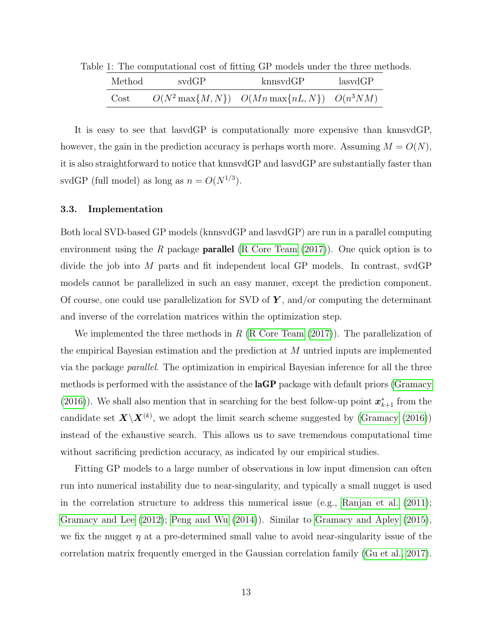<span id="page-12-0"></span>

|        |       | $\approx$ 1. The computational cost of noting $\alpha_1$ models under the time met |         |  |
|--------|-------|------------------------------------------------------------------------------------|---------|--|
| Method | svdGP | kmnsvdGP                                                                           | lasvdGP |  |
| Cost   |       | $O(N^2 \max\{M,N\})$ $O(Mn \max\{nL,N\})$ $O(n^3 NM)$                              |         |  |

Table 1: The computational cost of fitting GP models under the three methods.

It is easy to see that lasvdGP is computationally more expensive than knnsvdGP, however, the gain in the prediction accuracy is perhaps worth more. Assuming  $M = O(N)$ , it is also straightforward to notice that knnsvdGP and lasvdGP are substantially faster than svdGP (full model) as long as  $n = O(N^{1/3})$ .

#### 3.3. Implementation

Both local SVD-based GP models (knnsvdGP and lasvdGP) are run in a parallel computing environment using the R package **parallel** [\(R Core Team](#page-25-5)  $(2017)$ ). One quick option is to divide the job into M parts and fit independent local GP models. In contrast, svdGP models cannot be parallelized in such an easy manner, except the prediction component. Of course, one could use parallelization for SVD of  $Y$ , and/or computing the determinant and inverse of the correlation matrices within the optimization step.

We implemented the three methods in R  $(R \t{Core Team} (2017))$  $(R \t{Core Team} (2017))$  $(R \t{Core Team} (2017))$ . The parallelization of the empirical Bayesian estimation and the prediction at M untried inputs are implemented via the package parallel. The optimization in empirical Bayesian inference for all the three methods is performed with the assistance of the **laGP** package with default priors [\(Gramacy](#page-24-5) [\(2016\)](#page-24-5)). We shall also mention that in searching for the best follow-up point  $x_{k+1}^*$  from the candidate set  $\mathbf{X} \backslash \mathbf{X}^{(k)}$ , we adopt the limit search scheme suggested by [\(Gramacy](#page-24-5) [\(2016\)](#page-24-5)) instead of the exhaustive search. This allows us to save tremendous computational time without sacrificing prediction accuracy, as indicated by our empirical studies.

Fitting GP models to a large number of observations in low input dimension can often run into numerical instability due to near-singularity, and typically a small nugget is used in the correlation structure to address this numerical issue (e.g., [Ranjan et al.](#page-25-6) [\(2011\)](#page-25-6); [Gramacy and Lee](#page-24-8) [\(2012\)](#page-24-8); [Peng and Wu](#page-25-7) [\(2014\)](#page-25-7)). Similar to [Gramacy and Apley](#page-24-4) [\(2015\)](#page-24-4), we fix the nugget  $\eta$  at a pre-determined small value to avoid near-singularity issue of the correlation matrix frequently emerged in the Gaussian correlation family [\(Gu et al., 2017\)](#page-24-6).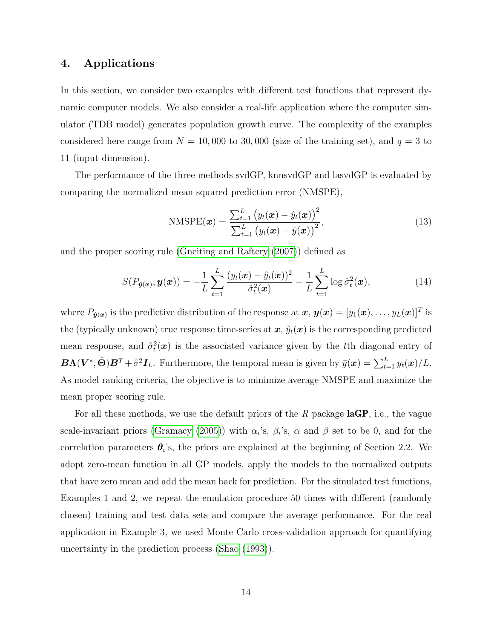# <span id="page-13-0"></span>4. Applications

In this section, we consider two examples with different test functions that represent dynamic computer models. We also consider a real-life application where the computer simulator (TDB model) generates population growth curve. The complexity of the examples considered here range from  $N = 10,000$  to 30,000 (size of the training set), and  $q = 3$  to 11 (input dimension).

The performance of the three methods svdGP, knnsvdGP and lasvdGP is evaluated by comparing the normalized mean squared prediction error (NMSPE),

$$
\text{NMSPE}(\boldsymbol{x}) = \frac{\sum_{t=1}^{L} (y_t(\boldsymbol{x}) - \hat{y}_t(\boldsymbol{x}))^2}{\sum_{t=1}^{L} (y_t(\boldsymbol{x}) - \bar{y}(\boldsymbol{x}))^2},
$$
\n(13)

and the proper scoring rule [\(Gneiting and Raftery](#page-23-8) [\(2007\)](#page-23-8)) defined as

$$
S(P_{\hat{\boldsymbol{y}}(\boldsymbol{x})}, \boldsymbol{y}(\boldsymbol{x})) = -\frac{1}{L} \sum_{t=1}^{L} \frac{(y_t(\boldsymbol{x}) - \hat{y}_t(\boldsymbol{x}))^2}{\hat{\sigma}_t^2(\boldsymbol{x})} - \frac{1}{L} \sum_{t=1}^{L} \log \hat{\sigma}_t^2(\boldsymbol{x}), \qquad (14)
$$

where  $P_{\hat{\bm{y}}(\bm{x})}$  is the predictive distribution of the response at  $\bm{x}, \bm{y}(\bm{x}) = [y_1(\bm{x}), \ldots, y_L(\bm{x})]^T$  is the (typically unknown) true response time-series at  $x, \hat{y}_t(x)$  is the corresponding predicted mean response, and  $\hat{\sigma}_t^2(x)$  is the associated variance given by the t<sup>th</sup> diagonal entry of  $\bm{B}\bm{\Lambda}(\bm{V}^*,\hat{\bm{\Theta}})\bm{B}^T + \hat{\sigma}^2\bm{I}_L$ . Furthermore, the temporal mean is given by  $\bar{y}(\bm{x}) = \sum_{t=1}^L y_t(\bm{x})/L$ . As model ranking criteria, the objective is to minimize average NMSPE and maximize the mean proper scoring rule.

For all these methods, we use the default priors of the  $R$  package  $\text{laGP}$ , i.e., the vague scale-invariant priors [\(Gramacy](#page-23-9) [\(2005\)](#page-23-9)) with  $\alpha_i$ 's,  $\beta_i$ 's,  $\alpha$  and  $\beta$  set to be 0, and for the correlation parameters  $\theta_i$ 's, the priors are explained at the beginning of Section 2.2. We adopt zero-mean function in all GP models, apply the models to the normalized outputs that have zero mean and add the mean back for prediction. For the simulated test functions, Examples 1 and 2, we repeat the emulation procedure 50 times with different (randomly chosen) training and test data sets and compare the average performance. For the real application in Example 3, we used Monte Carlo cross-validation approach for quantifying uncertainty in the prediction process [\(Shao](#page-25-8) [\(1993\)](#page-25-8)).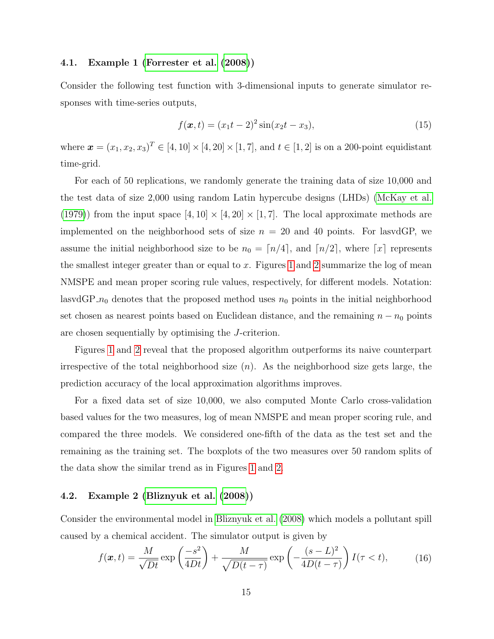#### 4.1. Example 1 [\(Forrester et al.](#page-23-10) [\(2008\)](#page-23-10))

Consider the following test function with 3-dimensional inputs to generate simulator responses with time-series outputs,

<span id="page-14-0"></span>
$$
f(\boldsymbol{x},t) = (x_1t - 2)^2 \sin(x_2t - x_3),
$$
\n(15)

where  $\mathbf{x} = (x_1, x_2, x_3)^T \in [4, 10] \times [4, 20] \times [1, 7]$ , and  $t \in [1, 2]$  is on a 200-point equidistant time-grid.

For each of 50 replications, we randomly generate the training data of size 10,000 and the test data of size 2,000 using random Latin hypercube designs (LHDs) [\(McKay et al.](#page-25-9) [\(1979\)](#page-25-9)) from the input space  $[4, 10] \times [4, 20] \times [1, 7]$ . The local approximate methods are implemented on the neighborhood sets of size  $n = 20$  and 40 points. For lasvdGP, we assume the initial neighborhood size to be  $n_0 = \lfloor n/4 \rfloor$ , and  $\lfloor n/2 \rfloor$ , where  $\lfloor x \rfloor$  represents the smallest integer greater than or equal to  $x$ . Figures [1](#page-15-0) and [2](#page-16-0) summarize the log of mean NMSPE and mean proper scoring rule values, respectively, for different models. Notation: lasvdGP<sub>- $n_0$ </sub> denotes that the proposed method uses  $n_0$  points in the initial neighborhood set chosen as nearest points based on Euclidean distance, and the remaining  $n - n_0$  points are chosen sequentially by optimising the J-criterion.

Figures [1](#page-15-0) and [2](#page-16-0) reveal that the proposed algorithm outperforms its naive counterpart irrespective of the total neighborhood size  $(n)$ . As the neighborhood size gets large, the prediction accuracy of the local approximation algorithms improves.

For a fixed data set of size 10,000, we also computed Monte Carlo cross-validation based values for the two measures, log of mean NMSPE and mean proper scoring rule, and compared the three models. We considered one-fifth of the data as the test set and the remaining as the training set. The boxplots of the two measures over 50 random splits of the data show the similar trend as in Figures [1](#page-15-0) and [2.](#page-16-0)

#### 4.2. Example 2 [\(Bliznyuk et al.](#page-22-2) [\(2008\)](#page-22-2))

Consider the environmental model in [Bliznyuk et al.](#page-22-2) [\(2008\)](#page-22-2) which models a pollutant spill caused by a chemical accident. The simulator output is given by

<span id="page-14-1"></span>
$$
f(\boldsymbol{x},t) = \frac{M}{\sqrt{Dt}} \exp\left(\frac{-s^2}{4Dt}\right) + \frac{M}{\sqrt{D(t-\tau)}} \exp\left(-\frac{(s-L)^2}{4D(t-\tau)}\right) I(\tau < t),\tag{16}
$$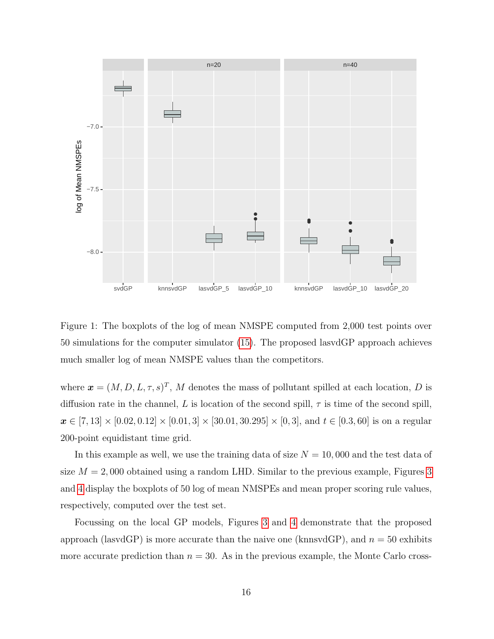

<span id="page-15-0"></span>Figure 1: The boxplots of the log of mean NMSPE computed from 2,000 test points over 50 simulations for the computer simulator [\(15\)](#page-14-0). The proposed lasvdGP approach achieves much smaller log of mean NMSPE values than the competitors.

where  $\boldsymbol{x} = (M, D, L, \tau, s)^T$ , M denotes the mass of pollutant spilled at each location, D is diffusion rate in the channel, L is location of the second spill,  $\tau$  is time of the second spill,  $x \in [7, 13] \times [0.02, 0.12] \times [0.01, 3] \times [30.01, 30.295] \times [0, 3]$ , and  $t \in [0.3, 60]$  is on a regular 200-point equidistant time grid.

In this example as well, we use the training data of size  $N = 10,000$  and the test data of size  $M = 2,000$  obtained using a random LHD. Similar to the previous example, Figures [3](#page-17-0) and [4](#page-18-0) display the boxplots of 50 log of mean NMSPEs and mean proper scoring rule values, respectively, computed over the test set.

Focussing on the local GP models, Figures [3](#page-17-0) and [4](#page-18-0) demonstrate that the proposed approach (lasvdGP) is more accurate than the naive one (knnsvdGP), and  $n = 50$  exhibits more accurate prediction than  $n = 30$ . As in the previous example, the Monte Carlo cross-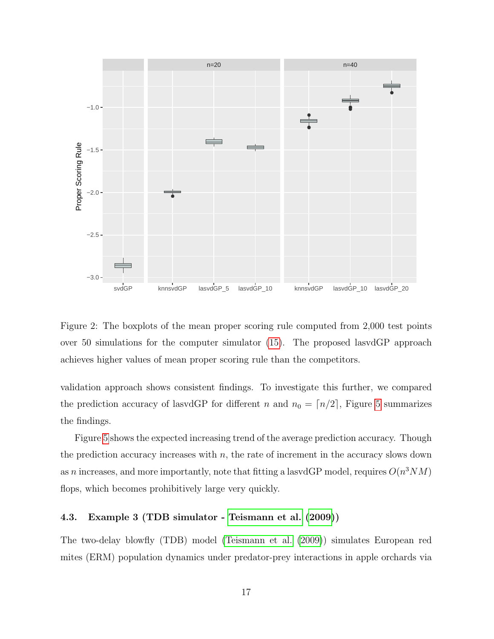

<span id="page-16-0"></span>Figure 2: The boxplots of the mean proper scoring rule computed from 2,000 test points over 50 simulations for the computer simulator [\(15\)](#page-14-0). The proposed lasvdGP approach achieves higher values of mean proper scoring rule than the competitors.

validation approach shows consistent findings. To investigate this further, we compared the prediction accuracy of lasvdGP for different n and  $n_0 = \lfloor n/2 \rfloor$ , Figure [5](#page-19-1) summarizes the findings.

Figure [5](#page-19-1) shows the expected increasing trend of the average prediction accuracy. Though the prediction accuracy increases with  $n$ , the rate of increment in the accuracy slows down as n increases, and more importantly, note that fitting a lasvdGP model, requires  $O(n^3NM)$ flops, which becomes prohibitively large very quickly.

#### 4.3. Example 3 (TDB simulator - [Teismann et al.](#page-26-0) [\(2009\)](#page-26-0))

The two-delay blowfly (TDB) model [\(Teismann et al.](#page-26-0) [\(2009\)](#page-26-0)) simulates European red mites (ERM) population dynamics under predator-prey interactions in apple orchards via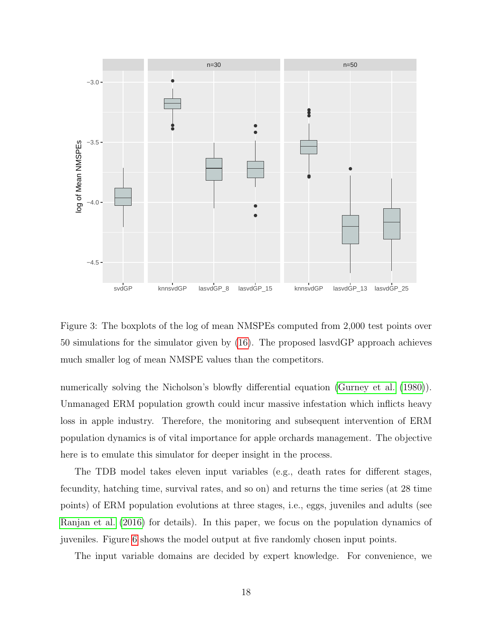

<span id="page-17-0"></span>Figure 3: The boxplots of the log of mean NMSPEs computed from 2,000 test points over 50 simulations for the simulator given by [\(16\)](#page-14-1). The proposed lasvdGP approach achieves much smaller log of mean NMSPE values than the competitors.

numerically solving the Nicholson's blowfly differential equation [\(Gurney et al.](#page-24-9) [\(1980\)](#page-24-9)). Unmanaged ERM population growth could incur massive infestation which inflicts heavy loss in apple industry. Therefore, the monitoring and subsequent intervention of ERM population dynamics is of vital importance for apple orchards management. The objective here is to emulate this simulator for deeper insight in the process.

The TDB model takes eleven input variables (e.g., death rates for different stages, fecundity, hatching time, survival rates, and so on) and returns the time series (at 28 time points) of ERM population evolutions at three stages, i.e., eggs, juveniles and adults (see [Ranjan et al.](#page-25-10) [\(2016\)](#page-25-10) for details). In this paper, we focus on the population dynamics of juveniles. Figure [6](#page-20-0) shows the model output at five randomly chosen input points.

The input variable domains are decided by expert knowledge. For convenience, we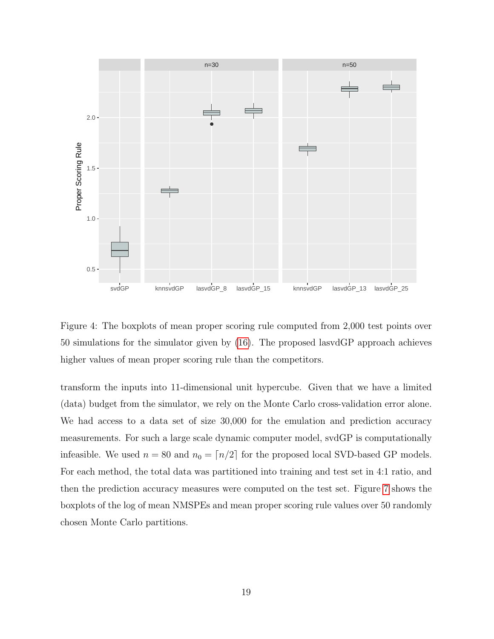

<span id="page-18-0"></span>Figure 4: The boxplots of mean proper scoring rule computed from 2,000 test points over 50 simulations for the simulator given by [\(16\)](#page-14-1). The proposed lasvdGP approach achieves higher values of mean proper scoring rule than the competitors.

transform the inputs into 11-dimensional unit hypercube. Given that we have a limited (data) budget from the simulator, we rely on the Monte Carlo cross-validation error alone. We had access to a data set of size 30,000 for the emulation and prediction accuracy measurements. For such a large scale dynamic computer model, svdGP is computationally infeasible. We used  $n = 80$  and  $n_0 = \lceil n/2 \rceil$  for the proposed local SVD-based GP models. For each method, the total data was partitioned into training and test set in 4:1 ratio, and then the prediction accuracy measures were computed on the test set. Figure [7](#page-21-0) shows the boxplots of the log of mean NMSPEs and mean proper scoring rule values over 50 randomly chosen Monte Carlo partitions.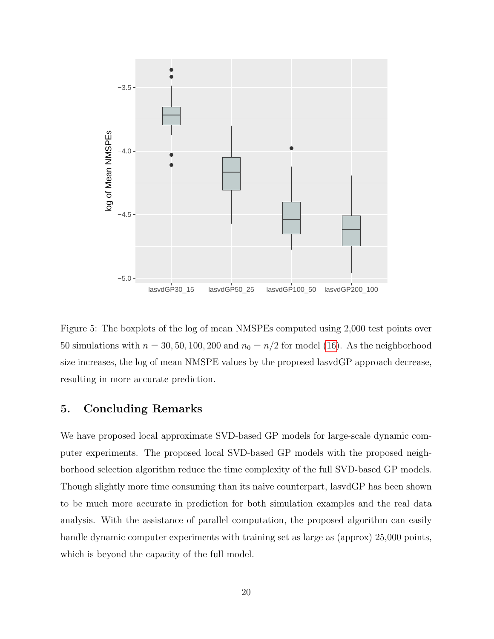

<span id="page-19-1"></span>Figure 5: The boxplots of the log of mean NMSPEs computed using 2,000 test points over 50 simulations with  $n = 30, 50, 100, 200$  and  $n_0 = n/2$  for model [\(16\)](#page-14-1). As the neighborhood size increases, the log of mean NMSPE values by the proposed lasvdGP approach decrease, resulting in more accurate prediction.

# <span id="page-19-0"></span>5. Concluding Remarks

We have proposed local approximate SVD-based GP models for large-scale dynamic computer experiments. The proposed local SVD-based GP models with the proposed neighborhood selection algorithm reduce the time complexity of the full SVD-based GP models. Though slightly more time consuming than its naive counterpart, lasvdGP has been shown to be much more accurate in prediction for both simulation examples and the real data analysis. With the assistance of parallel computation, the proposed algorithm can easily handle dynamic computer experiments with training set as large as (approx) 25,000 points, which is beyond the capacity of the full model.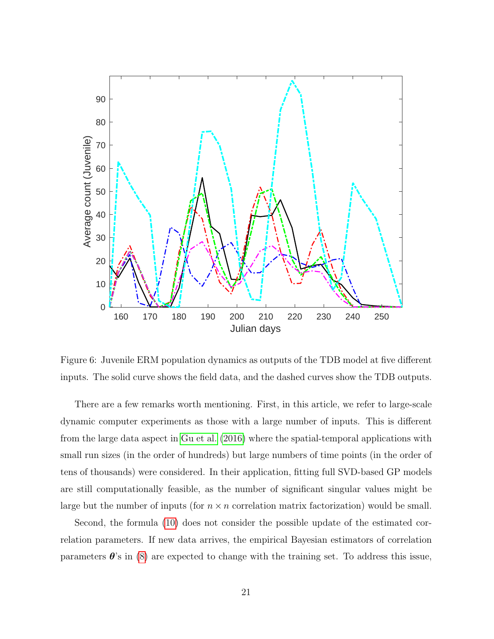

<span id="page-20-0"></span>Figure 6: Juvenile ERM population dynamics as outputs of the TDB model at five different inputs. The solid curve shows the field data, and the dashed curves show the TDB outputs.

There are a few remarks worth mentioning. First, in this article, we refer to large-scale dynamic computer experiments as those with a large number of inputs. This is different from the large data aspect in [Gu et al.](#page-24-10) [\(2016\)](#page-24-10) where the spatial-temporal applications with small run sizes (in the order of hundreds) but large numbers of time points (in the order of tens of thousands) were considered. In their application, fitting full SVD-based GP models are still computationally feasible, as the number of significant singular values might be large but the number of inputs (for  $n \times n$  correlation matrix factorization) would be small.

Second, the formula [\(10\)](#page-8-0) does not consider the possible update of the estimated correlation parameters. If new data arrives, the empirical Bayesian estimators of correlation parameters  $\theta$ 's in [\(8\)](#page-6-3) are expected to change with the training set. To address this issue,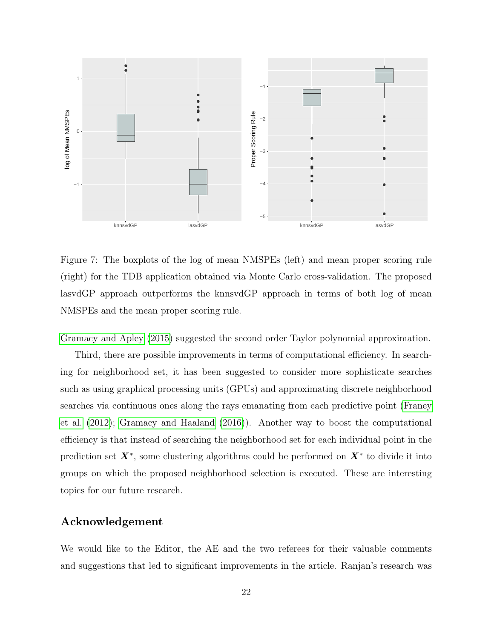

<span id="page-21-0"></span>Figure 7: The boxplots of the log of mean NMSPEs (left) and mean proper scoring rule (right) for the TDB application obtained via Monte Carlo cross-validation. The proposed lasvdGP approach outperforms the knnsvdGP approach in terms of both log of mean NMSPEs and the mean proper scoring rule.

[Gramacy and Apley](#page-24-4) [\(2015\)](#page-24-4) suggested the second order Taylor polynomial approximation.

Third, there are possible improvements in terms of computational efficiency. In searching for neighborhood set, it has been suggested to consider more sophisticate searches such as using graphical processing units (GPUs) and approximating discrete neighborhood searches via continuous ones along the rays emanating from each predictive point [\(Franey](#page-23-11) [et al.](#page-23-11) [\(2012\)](#page-23-11); [Gramacy and Haaland](#page-24-11) [\(2016\)](#page-24-11)). Another way to boost the computational efficiency is that instead of searching the neighborhood set for each individual point in the prediction set  $X^*$ , some clustering algorithms could be performed on  $X^*$  to divide it into groups on which the proposed neighborhood selection is executed. These are interesting topics for our future research.

# Acknowledgement

We would like to the Editor, the AE and the two referees for their valuable comments and suggestions that led to significant improvements in the article. Ranjan's research was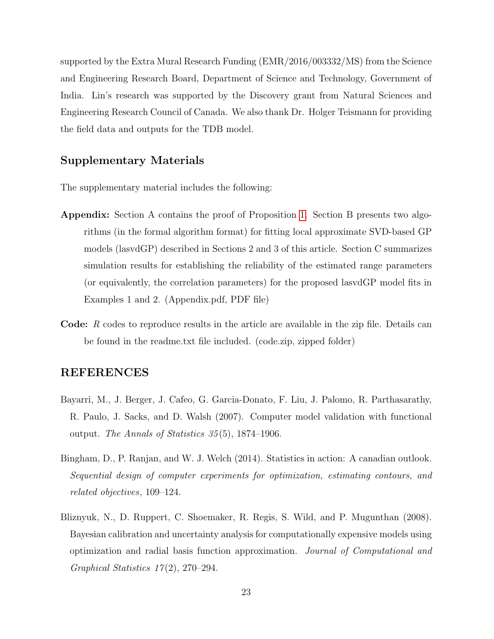supported by the Extra Mural Research Funding (EMR/2016/003332/MS) from the Science and Engineering Research Board, Department of Science and Technology, Government of India. Lin's research was supported by the Discovery grant from Natural Sciences and Engineering Research Council of Canada. We also thank Dr. Holger Teismann for providing the field data and outputs for the TDB model.

# Supplementary Materials

The supplementary material includes the following:

- Appendix: Section A contains the proof of Proposition [1.](#page-9-0) Section B presents two algorithms (in the formal algorithm format) for fitting local approximate SVD-based GP models (lasvdGP) described in Sections 2 and 3 of this article. Section C summarizes simulation results for establishing the reliability of the estimated range parameters (or equivalently, the correlation parameters) for the proposed lasvdGP model fits in Examples 1 and 2. (Appendix.pdf, PDF file)
- Code: R codes to reproduce results in the article are available in the zip file. Details can be found in the readme.txt file included. (code.zip, zipped folder)

# REFERENCES

- <span id="page-22-1"></span>Bayarri, M., J. Berger, J. Cafeo, G. Garcia-Donato, F. Liu, J. Palomo, R. Parthasarathy, R. Paulo, J. Sacks, and D. Walsh (2007). Computer model validation with functional output. The Annals of Statistics  $35(5)$ , 1874–1906.
- <span id="page-22-0"></span>Bingham, D., P. Ranjan, and W. J. Welch (2014). Statistics in action: A canadian outlook. Sequential design of computer experiments for optimization, estimating contours, and related objectives, 109–124.
- <span id="page-22-2"></span>Bliznyuk, N., D. Ruppert, C. Shoemaker, R. Regis, S. Wild, and P. Mugunthan (2008). Bayesian calibration and uncertainty analysis for computationally expensive models using optimization and radial basis function approximation. Journal of Computational and Graphical Statistics  $17(2)$ , 270–294.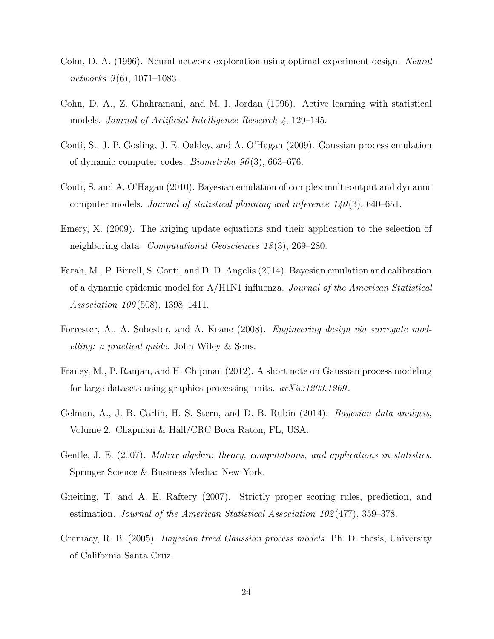- <span id="page-23-6"></span>Cohn, D. A. (1996). Neural network exploration using optimal experiment design. Neural networks  $9(6)$ , 1071–1083.
- <span id="page-23-5"></span>Cohn, D. A., Z. Ghahramani, and M. I. Jordan (1996). Active learning with statistical models. Journal of Artificial Intelligence Research 4, 129–145.
- <span id="page-23-0"></span>Conti, S., J. P. Gosling, J. E. Oakley, and A. O'Hagan (2009). Gaussian process emulation of dynamic computer codes. Biometrika 96 (3), 663–676.
- <span id="page-23-1"></span>Conti, S. and A. O'Hagan (2010). Bayesian emulation of complex multi-output and dynamic computer models. Journal of statistical planning and inference  $140(3)$ , 640–651.
- <span id="page-23-3"></span>Emery, X. (2009). The kriging update equations and their application to the selection of neighboring data. Computational Geosciences 13 (3), 269–280.
- <span id="page-23-2"></span>Farah, M., P. Birrell, S. Conti, and D. D. Angelis (2014). Bayesian emulation and calibration of a dynamic epidemic model for A/H1N1 influenza. Journal of the American Statistical Association 109 (508), 1398–1411.
- <span id="page-23-10"></span>Forrester, A., A. Sobester, and A. Keane (2008). Engineering design via surrogate modelling: a practical guide. John Wiley & Sons.
- <span id="page-23-11"></span>Franey, M., P. Ranjan, and H. Chipman (2012). A short note on Gaussian process modeling for large datasets using graphics processing units.  $arXiv:1203.1269$ .
- <span id="page-23-4"></span>Gelman, A., J. B. Carlin, H. S. Stern, and D. B. Rubin (2014). *Bayesian data analysis*, Volume 2. Chapman & Hall/CRC Boca Raton, FL, USA.
- <span id="page-23-7"></span>Gentle, J. E. (2007). *Matrix algebra: theory, computations, and applications in statistics.* Springer Science & Business Media: New York.
- <span id="page-23-8"></span>Gneiting, T. and A. E. Raftery (2007). Strictly proper scoring rules, prediction, and estimation. Journal of the American Statistical Association 102 (477), 359–378.
- <span id="page-23-9"></span>Gramacy, R. B. (2005). Bayesian treed Gaussian process models. Ph. D. thesis, University of California Santa Cruz.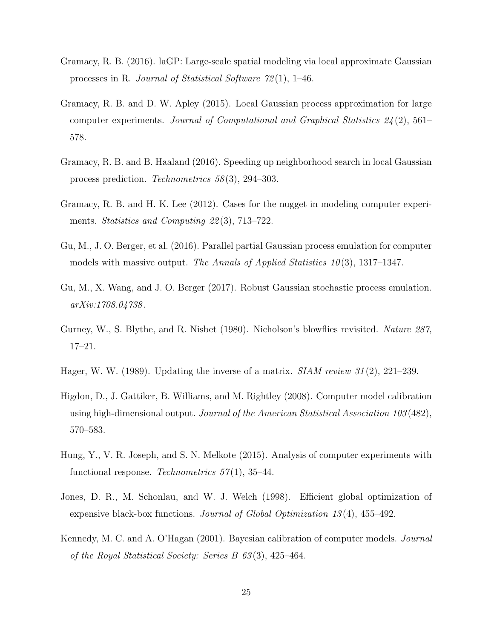- <span id="page-24-5"></span>Gramacy, R. B. (2016). laGP: Large-scale spatial modeling via local approximate Gaussian processes in R. Journal of Statistical Software 72 (1), 1–46.
- <span id="page-24-4"></span>Gramacy, R. B. and D. W. Apley (2015). Local Gaussian process approximation for large computer experiments. Journal of Computational and Graphical Statistics  $24(2)$ , 561– 578.
- <span id="page-24-11"></span>Gramacy, R. B. and B. Haaland (2016). Speeding up neighborhood search in local Gaussian process prediction. Technometrics 58 (3), 294–303.
- <span id="page-24-8"></span>Gramacy, R. B. and H. K. Lee (2012). Cases for the nugget in modeling computer experiments. *Statistics and Computing 22(3)*, 713–722.
- <span id="page-24-10"></span>Gu, M., J. O. Berger, et al. (2016). Parallel partial Gaussian process emulation for computer models with massive output. The Annals of Applied Statistics  $10(3)$ , 1317–1347.
- <span id="page-24-6"></span>Gu, M., X. Wang, and J. O. Berger (2017). Robust Gaussian stochastic process emulation. arXiv:1708.04738 .
- <span id="page-24-9"></span>Gurney, W., S. Blythe, and R. Nisbet (1980). Nicholson's blowflies revisited. Nature 287, 17–21.
- <span id="page-24-7"></span>Hager, W. W. (1989). Updating the inverse of a matrix.  $SIAM$  review 31(2), 221–239.
- <span id="page-24-3"></span>Higdon, D., J. Gattiker, B. Williams, and M. Rightley (2008). Computer model calibration using high-dimensional output. Journal of the American Statistical Association 103 (482), 570–583.
- <span id="page-24-2"></span>Hung, Y., V. R. Joseph, and S. N. Melkote (2015). Analysis of computer experiments with functional response. Technometrics  $57(1)$ , 35–44.
- <span id="page-24-0"></span>Jones, D. R., M. Schonlau, and W. J. Welch (1998). Efficient global optimization of expensive black-box functions. Journal of Global Optimization 13 (4), 455–492.
- <span id="page-24-1"></span>Kennedy, M. C. and A. O'Hagan (2001). Bayesian calibration of computer models. Journal of the Royal Statistical Society: Series B 63 (3), 425–464.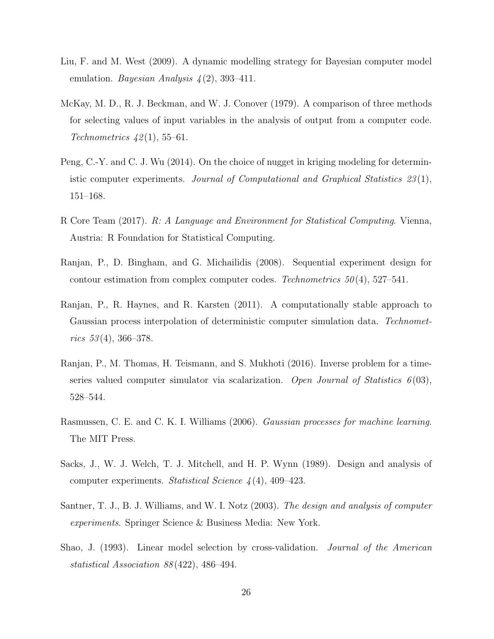- <span id="page-25-3"></span>Liu, F. and M. West (2009). A dynamic modelling strategy for Bayesian computer model emulation. Bayesian Analysis  $\mathcal{L}(2)$ , 393–411.
- <span id="page-25-9"></span>McKay, M. D., R. J. Beckman, and W. J. Conover (1979). A comparison of three methods for selecting values of input variables in the analysis of output from a computer code. Technometrics  $42(1)$ , 55–61.
- <span id="page-25-7"></span>Peng, C.-Y. and C. J. Wu (2014). On the choice of nugget in kriging modeling for deterministic computer experiments. Journal of Computational and Graphical Statistics 23 (1), 151–168.
- <span id="page-25-5"></span>R Core Team (2017). R: A Language and Environment for Statistical Computing. Vienna, Austria: R Foundation for Statistical Computing.
- <span id="page-25-2"></span>Ranjan, P., D. Bingham, and G. Michailidis (2008). Sequential experiment design for contour estimation from complex computer codes. Technometrics  $50(4)$ , 527–541.
- <span id="page-25-6"></span>Ranjan, P., R. Haynes, and R. Karsten (2011). A computationally stable approach to Gaussian process interpolation of deterministic computer simulation data. Technometrics  $53(4)$ , 366–378.
- <span id="page-25-10"></span>Ranjan, P., M. Thomas, H. Teismann, and S. Mukhoti (2016). Inverse problem for a timeseries valued computer simulator via scalarization. Open Journal of Statistics  $6(03)$ , 528–544.
- <span id="page-25-4"></span>Rasmussen, C. E. and C. K. I. Williams (2006). Gaussian processes for machine learning. The MIT Press.
- <span id="page-25-0"></span>Sacks, J., W. J. Welch, T. J. Mitchell, and H. P. Wynn (1989). Design and analysis of computer experiments. Statistical Science  $\lambda(4)$ , 409–423.
- <span id="page-25-1"></span>Santner, T. J., B. J. Williams, and W. I. Notz (2003). The design and analysis of computer experiments. Springer Science & Business Media: New York.
- <span id="page-25-8"></span>Shao, J. (1993). Linear model selection by cross-validation. Journal of the American statistical Association 88 (422), 486–494.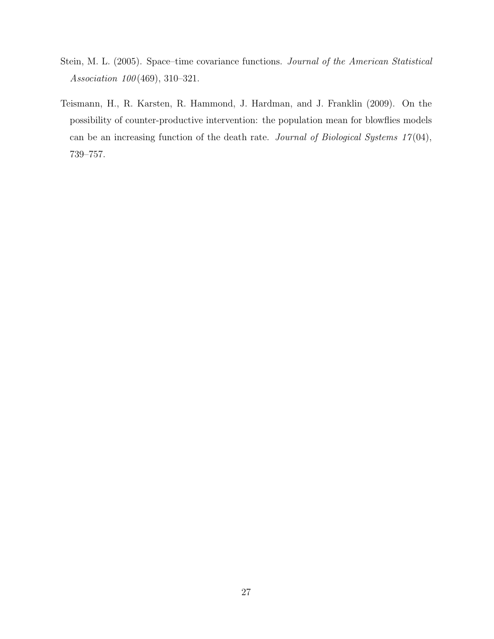- <span id="page-26-1"></span>Stein, M. L. (2005). Space–time covariance functions. Journal of the American Statistical Association 100 (469), 310–321.
- <span id="page-26-0"></span>Teismann, H., R. Karsten, R. Hammond, J. Hardman, and J. Franklin (2009). On the possibility of counter-productive intervention: the population mean for blowflies models can be an increasing function of the death rate. Journal of Biological Systems  $17(04)$ , 739–757.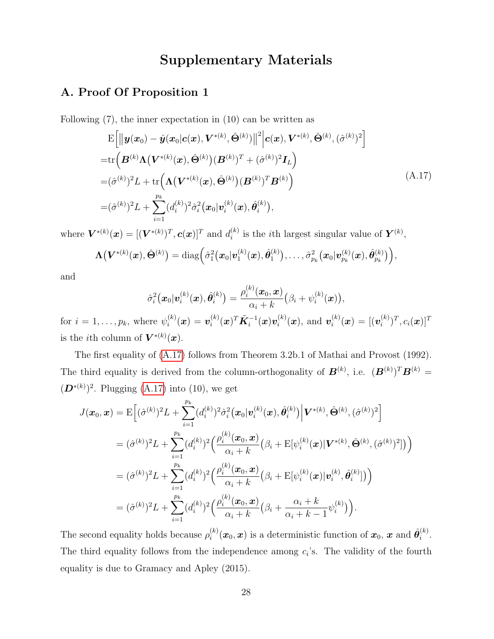# <span id="page-27-0"></span>Supplementary Materials

# A. Proof Of Proposition 1

Following (7), the inner expectation in (10) can be written as

$$
\begin{split}\n&\mathbf{E}\Big[\|\mathbf{y}(\mathbf{x}_{0})-\hat{\mathbf{y}}(\mathbf{x}_{0}|\mathbf{c}(\mathbf{x}),\mathbf{V}^{*(k)},\hat{\mathbf{\Theta}}^{(k)})\|^{2}\Big|\mathbf{c}(\mathbf{x}),\mathbf{V}^{*(k)},\hat{\mathbf{\Theta}}^{(k)},(\hat{\sigma}^{(k)})^{2}\Big] \\
&=\mathrm{tr}\Big(\mathbf{B}^{(k)}\Lambda\big(\mathbf{V}^{*(k)}(\mathbf{x}),\hat{\mathbf{\Theta}}^{(k)}\big)(\mathbf{B}^{(k)})^{T}+(\hat{\sigma}^{(k)})^{2}\mathbf{I}_{L}\Big) \\
&=(\hat{\sigma}^{(k)})^{2}L+\mathrm{tr}\Big(\Lambda\big(\mathbf{V}^{*(k)}(\mathbf{x}),\hat{\mathbf{\Theta}}^{(k)}\big)(\mathbf{B}^{(k)})^{T}\mathbf{B}^{(k)}\Big) \\
&=(\hat{\sigma}^{(k)})^{2}L+\sum_{i=1}^{p_{k}}(d_{i}^{(k)})^{2}\hat{\sigma}_{i}^{2}(\mathbf{x}_{0}|\mathbf{v}_{i}^{(k)}(\mathbf{x}),\hat{\mathbf{\theta}}_{i}^{(k)}),\n\end{split} \tag{A.17}
$$

where  $\bm{V}^{*(k)}(\bm{x}) = [(\bm{V}^{*(k)})^T, \bm{c}(\bm{x})]^T$  and  $d_i^{(k)}$  $i^{(k)}$  is the *i*th largest singular value of  $Y^{(k)}$ ,

$$
\boldsymbol{\Lambda}\big(\boldsymbol{V}^{*(k)}(\boldsymbol{x}),\hat{\boldsymbol{\Theta}}^{(k)}\big) = \text{diag}\Big(\hat{\sigma}_1^2\big(\boldsymbol{x}_0\vert \boldsymbol{v}_1^{(k)}(\boldsymbol{x}),\hat{\boldsymbol{\theta}}_1^{(k)}\big),\ldots,\hat{\sigma}_{p_k}^2\big(\boldsymbol{x}_0\vert \boldsymbol{v}_{p_k}^{(k)}(\boldsymbol{x}),\hat{\boldsymbol{\theta}}_{p_k}^{(k)}\big)\Big),
$$

and

$$
\hat{\sigma}_i^2\big(\boldsymbol{x}_0|\boldsymbol{v}_i^{(k)}(\boldsymbol{x}),\hat{\boldsymbol{\theta}}_i^{(k)}\big) = \frac{\rho_i^{(k)}(\boldsymbol{x}_0,\boldsymbol{x})}{\alpha_i+k}\big(\beta_i+\psi_i^{(k)}(\boldsymbol{x})\big),
$$

for  $i=1,\ldots,p_k$ , where  $\psi_i^{(k)}$  $\boldsymbol{v}_i^{(k)}(\boldsymbol{x}) = \boldsymbol{v}_i^{(k)}$  $\tilde{\boldsymbol{K}}_{i}^{-1}(\boldsymbol{x})\boldsymbol{v}_{i}^{(k)}$  $\boldsymbol{v}_i^{(k)}(\boldsymbol{x}), \text{ and } \boldsymbol{v}_i^{(k)}$  $\boldsymbol{u}_i^{(k)}(\boldsymbol{x}) = [(\boldsymbol{v}_i^{(k)}$  $\bm{c}_i^{(k)})^T, c_i(\bm{x})]^T$ is the *i*th column of  $V^{*(k)}(x)$ .

The first equality of [\(A.17\)](#page-27-0) follows from Theorem 3.2b.1 of Mathai and Provost (1992). The third equality is derived from the column-orthogonality of  $\mathbf{B}^{(k)}$ , i.e.  $(\mathbf{B}^{(k)})^T \mathbf{B}^{(k)} =$  $(D^{*(k)})^2$ . Plugging [\(A.17\)](#page-27-0) into (10), we get

$$
J(\boldsymbol{x}_{0}, \boldsymbol{x}) = \mathbf{E}\Big[(\hat{\sigma}^{(k)})^{2}L + \sum_{i=1}^{p_{k}} (d_{i}^{(k)})^{2}\hat{\sigma}_{i}^{2}(\boldsymbol{x}_{0}|\boldsymbol{v}_{i}^{(k)}(\boldsymbol{x}), \hat{\boldsymbol{\theta}}_{i}^{(k)})\Big|\boldsymbol{V}^{*(k)}, \hat{\boldsymbol{\Theta}}^{(k)}, (\hat{\sigma}^{(k)})^{2}\Big]
$$
  
\n
$$
= (\hat{\sigma}^{(k)})^{2}L + \sum_{i=1}^{p_{k}} (d_{i}^{(k)})^{2} \Big(\frac{\rho_{i}^{(k)}(\boldsymbol{x}_{0}, \boldsymbol{x})}{\alpha_{i} + k} (\beta_{i} + \mathbf{E}[\psi_{i}^{(k)}(\boldsymbol{x})|\boldsymbol{V}^{*(k)}, \hat{\boldsymbol{\Theta}}^{(k)}, (\hat{\sigma}^{(k)})^{2}]\Big)\Big)
$$
  
\n
$$
= (\hat{\sigma}^{(k)})^{2}L + \sum_{i=1}^{p_{k}} (d_{i}^{(k)})^{2} \Big(\frac{\rho_{i}^{(k)}(\boldsymbol{x}_{0}, \boldsymbol{x})}{\alpha_{i} + k} (\beta_{i} + \mathbf{E}[\psi_{i}^{(k)}(\boldsymbol{x})|\boldsymbol{v}_{i}^{(k)}, \hat{\boldsymbol{\theta}}_{i}^{(k)}])\Big)
$$
  
\n
$$
= (\hat{\sigma}^{(k)})^{2}L + \sum_{i=1}^{p_{k}} (d_{i}^{(k)})^{2} \Big(\frac{\rho_{i}^{(k)}(\boldsymbol{x}_{0}, \boldsymbol{x})}{\alpha_{i} + k} (\beta_{i} + \frac{\alpha_{i} + k}{\alpha_{i} + k - 1} \psi_{i}^{(k)})\Big).
$$

The second equality holds because  $\rho_i^{(k)}$  $\hat{\bm{x}}_i^{(k)}(\bm{x}_0, \bm{x})$  is a deterministic function of  $\bm{x}_0, \bm{x}$  and  $\hat{\bm{\theta}}_i^{(k)}$  $\binom{\kappa}{i}$ . The third equality follows from the independence among  $c_i$ 's. The validity of the fourth equality is due to Gramacy and Apley (2015).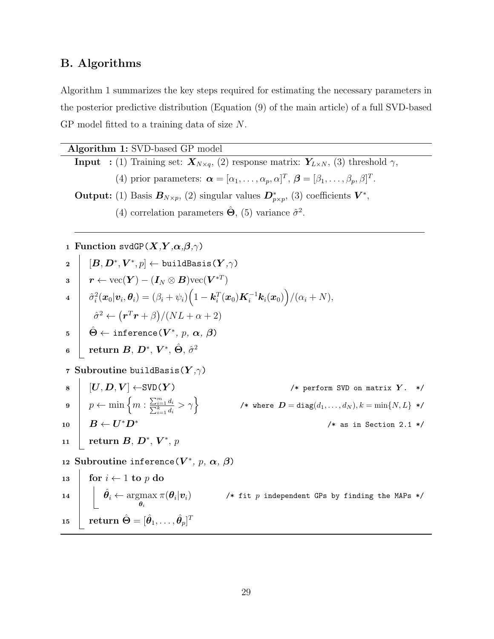# B. Algorithms

Algorithm 1 summarizes the key steps required for estimating the necessary parameters in the posterior predictive distribution (Equation (9) of the main article) of a full SVD-based GP model fitted to a training data of size N.

Algorithm 1: SVD-based GP model **Input** : (1) Training set:  $\mathbf{X}_{N\times q}$ , (2) response matrix:  $\mathbf{Y}_{L\times N}$ , (3) threshold  $\gamma$ , (4) prior parameters:  $\boldsymbol{\alpha} = [\alpha_1, \ldots, \alpha_p, \alpha]^T$ ,  $\boldsymbol{\beta} = [\beta_1, \ldots, \beta_p, \beta]^T$ . Output: (1) Basis  $B_{N\times p}$ , (2) singular values  $D^*_{p\times p}$ , (3) coefficients  $V^*$ , (4) correlation parameters  $\hat{\Theta}$ , (5) variance  $\hat{\sigma}^2$ .

1 Function svdGP( $X, Y, \alpha, \beta, \gamma$ )  $\mathbf{p} \: \: \: \: [\: \boldsymbol{B}, \boldsymbol{D}^*, \boldsymbol{V}^*, \textit{p}] \gets \texttt{buildBasis}\left(\boldsymbol{Y}, \gamma\right)$  $\begin{aligned} \mathbf{3} \quad &| \quad \bm{r} \leftarrow \text{vec}(\bm{Y}) - (\bm{I}_N \otimes \bm{B}) \text{vec}(\bm{V}^{*T}) \end{aligned}$  $\hat{\sigma}_i^2(\boldsymbol{x}_0|\boldsymbol{v}_i,\boldsymbol{\theta}_i) = (\beta_i + \psi_i)\Big(1 - \boldsymbol{k}_i^T(\boldsymbol{x}_0)\boldsymbol{K}_i^{-1}\boldsymbol{k}_i(\boldsymbol{x}_0)\Big)/(\alpha_i + N),$  $\hat{\sigma}^2 \leftarrow (r^T r + \beta)/(NL + \alpha + 2)$  $\hat{\mathbf{b}} \gets \texttt{inference}(\boldsymbol{V^*}, \, p, \, \boldsymbol{\alpha}, \, \boldsymbol{\beta})$  $\,$ 6  $\,$   $\,$  return  $\boldsymbol{B},\,\boldsymbol{D}^*,\,\boldsymbol{V}^*,\,\hat{\boldsymbol{\Theta}},\,\hat{\sigma}^2$ 7 Subroutine buildBasis( $Y, \gamma$ )  $\{S \mid [U, D, V] \leftarrow \text{SVD}(Y)$  /\* perform SVD on matrix Y. \*/  $p \leftarrow \min\left\{m : \frac{\sum_{i=1}^{m}}{\sum_{i=1}^{k}}\right\}$  $\left\{\frac{m-1}{k-1}\frac{d_i}{d_i}>\gamma\right\} \qquad\qquad \text{{\it //* where }}{\bm D}=\texttt{diag}(d_1,\ldots,d_N), k=\min\{N,L\}\text{ }*\text{,\,}$  $_{{\bf 10}}$   $\begin{array}{c|c} \begin{array}{c} \end{array} & B \leftarrow \textbf{\textit{U}}^* \textbf{\textit{D}}^* \end{array}$  $/*$  as in Section 2.1  $*/$  $\begin{array}{|l|} \hbox{\tt\quad 11} & \quad \text{return } \textit{\textbf{B}}, \textit{\textbf{D}}^{*}, \textit{\textbf{V}}^{*}, \textit{\textbf{p}} \ \hbox{\end{array}$ 12 Subroutine inference( $V^*$ , p,  $\alpha$ ,  $\beta$ ) 13 for  $i \leftarrow 1$  to p do  $\begin{array}{|c|c|c|}\hline \textbf{14} & \hat{\theta}_i \leftarrow \text{argmax}\ \hline \end{array}$  $\pmb{\theta}_i$  $\pi(\boldsymbol{\theta}_i|\boldsymbol{v}_i)$  /\* fit  $p$  independent GPs by finding the MAPs \*/  ${\bf 15}\quad \mid\quad {\bf return}\; \hat{\bm \Theta} = [\hat{\bm \theta}_1,\ldots,\hat{\bm \theta}_p]^T$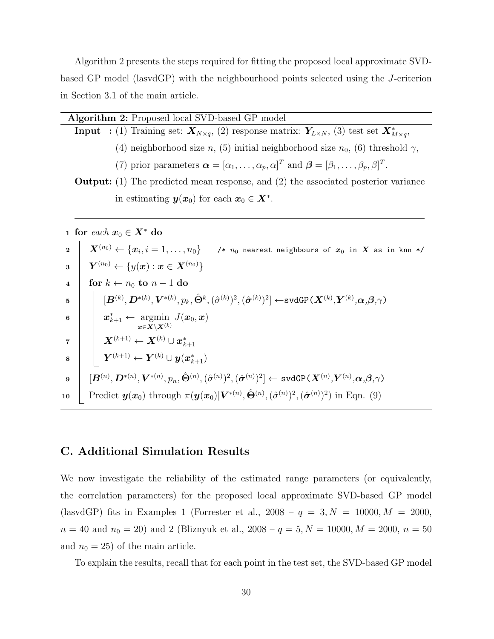Algorithm 2 presents the steps required for fitting the proposed local approximate SVDbased GP model (lasvdGP) with the neighbourhood points selected using the J-criterion in Section 3.1 of the main article.

|                         | Algorithm 2: Proposed local SVD-based GP model                                                                                                                                                                                                                                       |  |  |  |  |  |  |
|-------------------------|--------------------------------------------------------------------------------------------------------------------------------------------------------------------------------------------------------------------------------------------------------------------------------------|--|--|--|--|--|--|
|                         | <b>Input</b> : (1) Training set: $X_{N\times q}$ , (2) response matrix: $Y_{L\times N}$ , (3) test set $X_{M\times q}^*$ ,                                                                                                                                                           |  |  |  |  |  |  |
|                         | (4) neighborhood size n, (5) initial neighborhood size $n_0$ , (6) threshold $\gamma$ ,                                                                                                                                                                                              |  |  |  |  |  |  |
|                         | (7) prior parameters $\boldsymbol{\alpha} = [\alpha_1, \ldots, \alpha_p, \alpha]^T$ and $\boldsymbol{\beta} = [\beta_1, \ldots, \beta_p, \beta]^T$ .                                                                                                                                 |  |  |  |  |  |  |
|                         | <b>Output:</b> (1) The predicted mean response, and (2) the associated posterior variance                                                                                                                                                                                            |  |  |  |  |  |  |
|                         | in estimating $y(x_0)$ for each $x_0 \in X^*$ .                                                                                                                                                                                                                                      |  |  |  |  |  |  |
|                         |                                                                                                                                                                                                                                                                                      |  |  |  |  |  |  |
|                         | 1 for each $x_0 \in X^*$ do                                                                                                                                                                                                                                                          |  |  |  |  |  |  |
| $\mathbf{2}$            | $\boldsymbol{X}^{(n_0)} \leftarrow \{\boldsymbol{x}_i, i=1,\ldots,n_0\}$ /* $n_0$ nearest neighbours of $\boldsymbol{x}_0$ in $\boldsymbol{X}$ as in knn */                                                                                                                          |  |  |  |  |  |  |
| 3                       | $\begin{array}{ l } \hline \mathbf{Y}^{(n_0)} \leftarrow \{y(\boldsymbol{x}): \boldsymbol{x} \in \boldsymbol{X}^{(n_0)}\} \hline \end{array}$                                                                                                                                        |  |  |  |  |  |  |
| $\overline{\mathbf{4}}$ | for $k \leftarrow n_0$ to $n-1$ do                                                                                                                                                                                                                                                   |  |  |  |  |  |  |
| 5                       | $\{\boldsymbol{B}^{(k)},\boldsymbol{D}^{*(k)},\boldsymbol{V}^{*(k)},p_k,\hat{\boldsymbol{\Theta}}^k,(\hat{\sigma}^{(k)})^2,(\hat{\boldsymbol{\sigma}}^{(k)})^2\} \leftarrow \texttt{svdGP}(\boldsymbol{X}^{(k)},\boldsymbol{Y}^{(k)},\boldsymbol{\alpha},\boldsymbol{\beta},\gamma)$ |  |  |  |  |  |  |
| 6                       | $\begin{array}{ l} \mid & \bm{x}_{k+1}^* \leftarrow \mathop{\rm argmin}\limits_{\bm{x} \in \bm{X} \backslash \bm{X}^{(k)}} J(\bm{x}_0, \bm{x}) \end{array}$                                                                                                                          |  |  |  |  |  |  |
| $\overline{\mathbf{7}}$ | $\hspace{.1cm}\Big \quad \boldsymbol{X}^{(k+1)}\leftarrow \boldsymbol{X}^{(k)}\cup \boldsymbol{x}_{k+1}^*$                                                                                                                                                                           |  |  |  |  |  |  |
| 8                       | $\boxed{\quad \boldsymbol{Y}^{(k+1)}\leftarrow \boldsymbol{Y}^{(k)}\cup \boldsymbol{y}(\boldsymbol{x}_{k+1}^*)}$                                                                                                                                                                     |  |  |  |  |  |  |
| 9                       | $[\boldsymbol{B}^{(n)},\boldsymbol{D}^{*(n)},\boldsymbol{V}^{*(n)},p_n,\hat{\Theta}^{(n)},(\hat{\sigma}^{(n)})^2,(\hat{\boldsymbol{\sigma}}^{(n)})^2] \gets \texttt{svdGP}(\boldsymbol{X}^{(n)},\!\boldsymbol{Y}^{(n)},\!\boldsymbol{\alpha},\!\boldsymbol{\beta},\!\gamma)$         |  |  |  |  |  |  |

$$
\text{10} \quad \boxed{\text{Predict } \bm{y}(\bm{x}_0) \text{ through } \pi(\bm{y}(\bm{x}_0)|\bm{V}^{*(n)}, \hat{\bm{\Theta}}^{(n)}, (\hat{\sigma}^{(n)})^2, (\hat{\bm{\sigma}}^{(n)})^2) \text{ in Eqn. (9)}}
$$

# C. Additional Simulation Results

We now investigate the reliability of the estimated range parameters (or equivalently, the correlation parameters) for the proposed local approximate SVD-based GP model (lasvdGP) fits in Examples 1 (Forrester et al.,  $2008 - q = 3, N = 10000, M = 2000,$  $n = 40$  and  $n_0 = 20$ ) and 2 (Bliznyuk et al.,  $2008 - q = 5, N = 10000, M = 2000, n = 50$ and  $n_0 = 25$ ) of the main article.

To explain the results, recall that for each point in the test set, the SVD-based GP model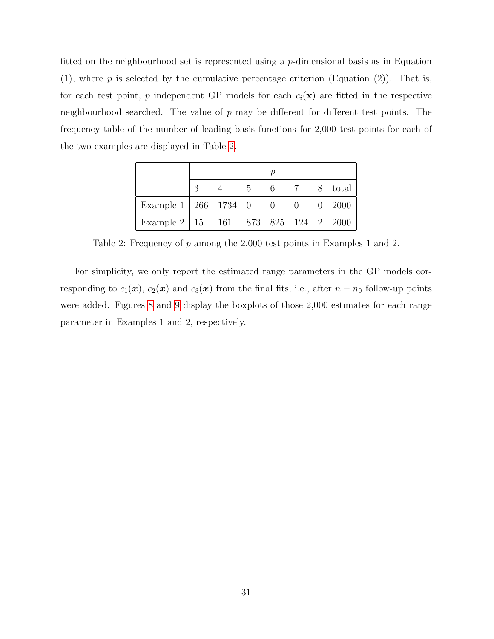fitted on the neighbourhood set is represented using a p-dimensional basis as in Equation (1), where  $p$  is selected by the cumulative percentage criterion (Equation (2)). That is, for each test point, p independent GP models for each  $c_i(\mathbf{x})$  are fitted in the respective neighbourhood searched. The value of  $p$  may be different for different test points. The frequency table of the number of leading basis functions for 2,000 test points for each of the two examples are displayed in Table [2.](#page-30-0)

|                                                        |  |  |  |  |  |  | $5 \t 6 \t 7 \t 8$ total |
|--------------------------------------------------------|--|--|--|--|--|--|--------------------------|
| Example 1   266 1734 0 0 0 1 2000                      |  |  |  |  |  |  |                          |
| Example 2   15    161    873    825    124    2   2000 |  |  |  |  |  |  |                          |

<span id="page-30-0"></span>Table 2: Frequency of p among the 2,000 test points in Examples 1 and 2.

For simplicity, we only report the estimated range parameters in the GP models corresponding to  $c_1(\mathbf{x})$ ,  $c_2(\mathbf{x})$  and  $c_3(\mathbf{x})$  from the final fits, i.e., after  $n - n_0$  follow-up points were added. Figures [8](#page-31-0) and [9](#page-31-1) display the boxplots of those 2,000 estimates for each range parameter in Examples 1 and 2, respectively.